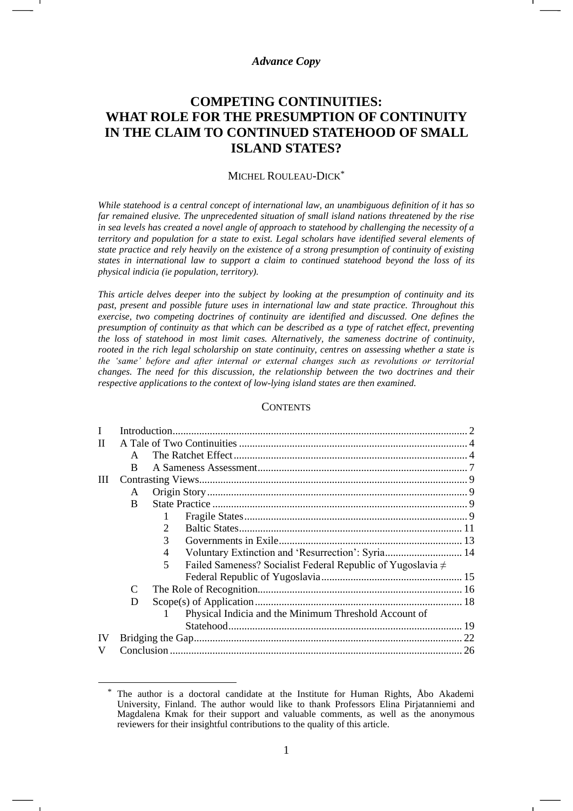## *Advance Copy*

# **COMPETING CONTINUITIES: WHAT ROLE FOR THE PRESUMPTION OF CONTINUITY IN THE CLAIM TO CONTINUED STATEHOOD OF SMALL ISLAND STATES?**

#### MICHEL ROULEAU-DICK\*

*While statehood is a central concept of international law, an unambiguous definition of it has so far remained elusive. The unprecedented situation of small island nations threatened by the rise in sea levels has created a novel angle of approach to statehood by challenging the necessity of a territory and population for a state to exist. Legal scholars have identified several elements of state practice and rely heavily on the existence of a strong presumption of continuity of existing states in international law to support a claim to continued statehood beyond the loss of its physical indicia (ie population, territory).*

*This article delves deeper into the subject by looking at the presumption of continuity and its past, present and possible future uses in international law and state practice. Throughout this exercise, two competing doctrines of continuity are identified and discussed. One defines the presumption of continuity as that which can be described as a type of ratchet effect, preventing the loss of statehood in most limit cases. Alternatively, the sameness doctrine of continuity, rooted in the rich legal scholarship on state continuity, centres on assessing whether a state is the 'same' before and after internal or external changes such as revolutions or territorial changes. The need for this discussion, the relationship between the two doctrines and their respective applications to the context of low-lying island states are then examined.*

#### **CONTENTS**

| A            |                                                                       |      |
|--------------|-----------------------------------------------------------------------|------|
| <sub>R</sub> |                                                                       |      |
| Ш            |                                                                       |      |
| A            |                                                                       |      |
| <sub>B</sub> |                                                                       |      |
|              |                                                                       |      |
|              |                                                                       |      |
|              | 3                                                                     |      |
|              | Voluntary Extinction and 'Resurrection': Syria 14<br>4                |      |
|              | Failed Sameness? Socialist Federal Republic of Yugoslavia $\neq$<br>5 |      |
|              |                                                                       |      |
| C            |                                                                       |      |
| D            |                                                                       |      |
|              | Physical Indicia and the Minimum Threshold Account of                 |      |
|              |                                                                       |      |
|              |                                                                       |      |
|              |                                                                       | . 26 |
|              |                                                                       |      |

<sup>\*</sup> The author is a doctoral candidate at the Institute for Human Rights, Åbo Akademi University, Finland. The author would like to thank Professors Elina Pirjatanniemi and Magdalena Kmak for their support and valuable comments, as well as the anonymous reviewers for their insightful contributions to the quality of this article.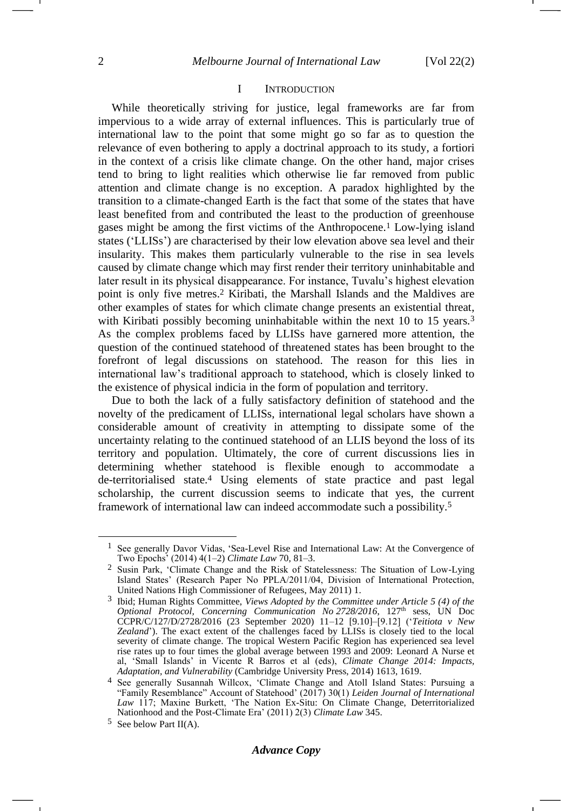-

#### <span id="page-1-2"></span>I INTRODUCTION

While theoretically striving for justice, legal frameworks are far from impervious to a wide array of external influences. This is particularly true of international law to the point that some might go so far as to question the relevance of even bothering to apply a doctrinal approach to its study, a fortiori in the context of a crisis like climate change. On the other hand, major crises tend to bring to light realities which otherwise lie far removed from public attention and climate change is no exception. A paradox highlighted by the transition to a climate-changed Earth is the fact that some of the states that have least benefited from and contributed the least to the production of greenhouse gases might be among the first victims of the Anthropocene.<sup>1</sup> Low-lying island states ('LLISs') are characterised by their low elevation above sea level and their insularity. This makes them particularly vulnerable to the rise in sea levels caused by climate change which may first render their territory uninhabitable and later result in its physical disappearance. For instance, Tuvalu's highest elevation point is only five metres. <sup>2</sup> Kiribati, the Marshall Islands and the Maldives are other examples of states for which climate change presents an existential threat, with Kiribati possibly becoming uninhabitable within the next 10 to 15 years.<sup>3</sup> As the complex problems faced by LLISs have garnered more attention, the question of the continued statehood of threatened states has been brought to the forefront of legal discussions on statehood. The reason for this lies in international law's traditional approach to statehood, which is closely linked to the existence of physical indicia in the form of population and territory.

<span id="page-1-1"></span>Due to both the lack of a fully satisfactory definition of statehood and the novelty of the predicament of LLISs, international legal scholars have shown a considerable amount of creativity in attempting to dissipate some of the uncertainty relating to the continued statehood of an LLIS beyond the loss of its territory and population. Ultimately, the core of current discussions lies in determining whether statehood is flexible enough to accommodate a de-territorialised state.<sup>4</sup> Using elements of state practice and past legal scholarship, the current discussion seems to indicate that yes, the current framework of international law can indeed accommodate such a possibility.<sup>5</sup>

<span id="page-1-0"></span><sup>1</sup> See generally Davor Vidas, 'Sea-Level Rise and International Law: At the Convergence of Two Epochs' (2014) 4(1–2) *Climate Law* 70, 81–3.

<sup>2</sup> Susin Park, 'Climate Change and the Risk of Statelessness: The Situation of Low-Lying Island States' (Research Paper No PPLA/2011/04, Division of International Protection, United Nations High Commissioner of Refugees, May 2011) 1.

<sup>3</sup> Ibid; Human Rights Committee, *Views Adopted by the Committee under Article 5 (4) of the Optional Protocol, Concerning Communication No 2728/2016*, 127th sess, UN Doc CCPR/C/127/D/2728/2016 (23 September 2020) 11–12 [9.10]–[9.12] ('*Teitiota v New Zealand*'). The exact extent of the challenges faced by LLISs is closely tied to the local severity of climate change. The tropical Western Pacific Region has experienced sea level rise rates up to four times the global average between 1993 and 2009: Leonard A Nurse et al, 'Small Islands' in Vicente R Barros et al (eds), *Climate Change 2014: Impacts, Adaptation, and Vulnerability* (Cambridge University Press, 2014) 1613, 1619.

<sup>4</sup> See generally Susannah Willcox, 'Climate Change and Atoll Island States: Pursuing a "Family Resemblance" Account of Statehood' (2017) 30(1) *Leiden Journal of International Law* 117; Maxine Burkett, 'The Nation Ex-Situ: On Climate Change, Deterritorialized Nationhood and the Post-Climate Era' (2011) 2(3) *Climate Law* 345.

<sup>5</sup> See below Part II(A).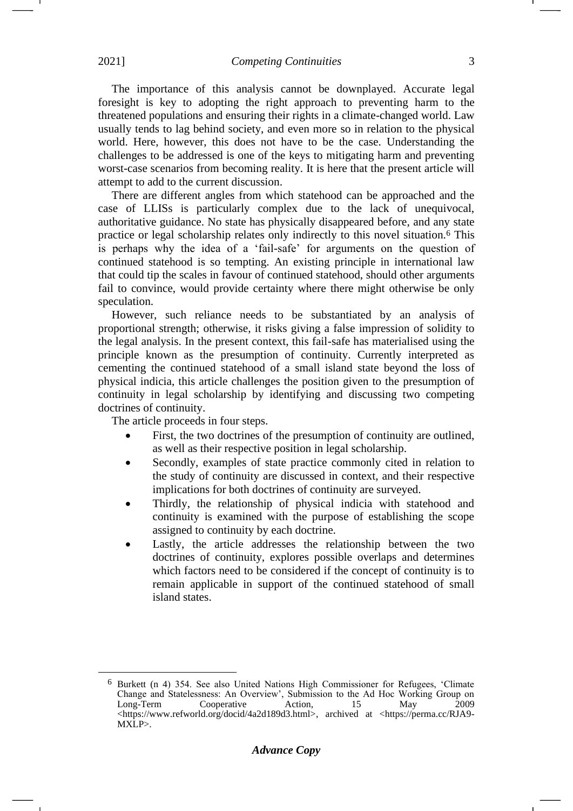The importance of this analysis cannot be downplayed. Accurate legal foresight is key to adopting the right approach to preventing harm to the threatened populations and ensuring their rights in a climate-changed world. Law usually tends to lag behind society, and even more so in relation to the physical world. Here, however, this does not have to be the case. Understanding the challenges to be addressed is one of the keys to mitigating harm and preventing worst-case scenarios from becoming reality. It is here that the present article will attempt to add to the current discussion.

There are different angles from which statehood can be approached and the case of LLISs is particularly complex due to the lack of unequivocal, authoritative guidance. No state has physically disappeared before, and any state practice or legal scholarship relates only indirectly to this novel situation.<sup>6</sup> This is perhaps why the idea of a 'fail-safe' for arguments on the question of continued statehood is so tempting. An existing principle in international law that could tip the scales in favour of continued statehood, should other arguments fail to convince, would provide certainty where there might otherwise be only speculation.

However, such reliance needs to be substantiated by an analysis of proportional strength; otherwise, it risks giving a false impression of solidity to the legal analysis. In the present context, this fail-safe has materialised using the principle known as the presumption of continuity. Currently interpreted as cementing the continued statehood of a small island state beyond the loss of physical indicia, this article challenges the position given to the presumption of continuity in legal scholarship by identifying and discussing two competing doctrines of continuity.

The article proceeds in four steps.

- First, the two doctrines of the presumption of continuity are outlined, as well as their respective position in legal scholarship.
- Secondly, examples of state practice commonly cited in relation to the study of continuity are discussed in context, and their respective implications for both doctrines of continuity are surveyed.
- Thirdly, the relationship of physical indicia with statehood and continuity is examined with the purpose of establishing the scope assigned to continuity by each doctrine.
- Lastly, the article addresses the relationship between the two doctrines of continuity, explores possible overlaps and determines which factors need to be considered if the concept of continuity is to remain applicable in support of the continued statehood of small island states.

<sup>6</sup> Burkett (n [4\)](#page-1-0) 354. See also United Nations High Commissioner for Refugees, 'Climate Change and Statelessness: An Overview', Submission to the Ad Hoc Working Group on Long-Term Cooperative Action, 15 May 2009  $\lt$ https://www.refworld.org/docid/4a2d189d3.html>, archived at  $\lt$ https://perma.cc/RJA9-MXLP>.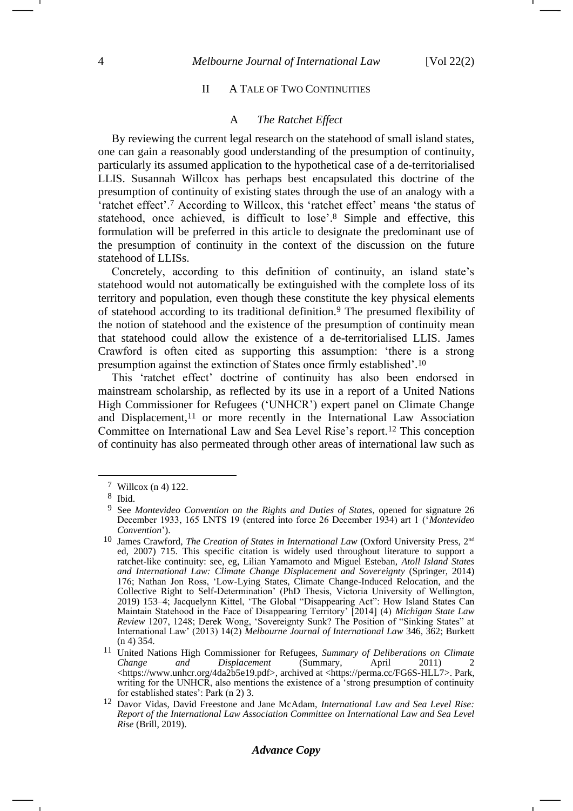## II A TALE OF TWO CONTINUITIES

#### <span id="page-3-1"></span><span id="page-3-0"></span>A *The Ratchet Effect*

By reviewing the current legal research on the statehood of small island states, one can gain a reasonably good understanding of the presumption of continuity, particularly its assumed application to the hypothetical case of a de-territorialised LLIS. Susannah Willcox has perhaps best encapsulated this doctrine of the presumption of continuity of existing states through the use of an analogy with a 'ratchet effect'.<sup>7</sup> According to Willcox, this 'ratchet effect' means 'the status of statehood, once achieved, is difficult to lose'. <sup>8</sup> Simple and effective, this formulation will be preferred in this article to designate the predominant use of the presumption of continuity in the context of the discussion on the future statehood of LLISs.

Concretely, according to this definition of continuity, an island state's statehood would not automatically be extinguished with the complete loss of its territory and population, even though these constitute the key physical elements of statehood according to its traditional definition.<sup>9</sup> The presumed flexibility of the notion of statehood and the existence of the presumption of continuity mean that statehood could allow the existence of a de-territorialised LLIS. James Crawford is often cited as supporting this assumption: 'there is a strong presumption against the extinction of States once firmly established'. 10

This 'ratchet effect' doctrine of continuity has also been endorsed in mainstream scholarship, as reflected by its use in a report of a United Nations High Commissioner for Refugees ('UNHCR') expert panel on Climate Change and Displacement,<sup>11</sup> or more recently in the International Law Association Committee on International Law and Sea Level Rise's report.<sup>12</sup> This conception of continuity has also permeated through other areas of international law such as

<sup>7</sup> Willcox (n [4\)](#page-1-0) 122.

<sup>8</sup> Ibid.

<sup>9</sup> See *Montevideo Convention on the Rights and Duties of States*, opened for signature 26 December 1933, 165 LNTS 19 (entered into force 26 December 1934) art 1 ('*Montevideo Convention*').

<sup>&</sup>lt;sup>10</sup> James Crawford, *The Creation of States in International Law* (Oxford University Press, 2<sup>nd</sup> ed, 2007) 715. This specific citation is widely used throughout literature to support a ratchet-like continuity: see, eg, Lilian Yamamoto and Miguel Esteban, *Atoll Island States and International Law: Climate Change Displacement and Sovereignty* (Springer, 2014) 176; Nathan Jon Ross, 'Low-Lying States, Climate Change-Induced Relocation, and the Collective Right to Self-Determination' (PhD Thesis, Victoria University of Wellington, 2019) 153–4; Jacquelynn Kittel, 'The Global "Disappearing Act": How Island States Can Maintain Statehood in the Face of Disappearing Territory' [2014] (4) *Michigan State Law Review* 1207, 1248; Derek Wong, 'Sovereignty Sunk? The Position of "Sinking States" at International Law' (2013) 14(2) *Melbourne Journal of International Law* 346, 362; Burkett ([n 4\)](#page-1-0) 354.

<sup>11</sup> United Nations High Commissioner for Refugees, *Summary of Deliberations on Climate*   $Displacement$ <https://www.unhcr.org/4da2b5e19.pdf>, archived at <https://perma.cc/FG6S-HLL7>. Park, writing for the UNHCR, also mentions the existence of a 'strong presumption of continuity for established states': Park (n [2\)](#page-1-1) 3.

<sup>12</sup> Davor Vidas, David Freestone and Jane McAdam, *International Law and Sea Level Rise: Report of the International Law Association Committee on International Law and Sea Level Rise* (Brill, 2019).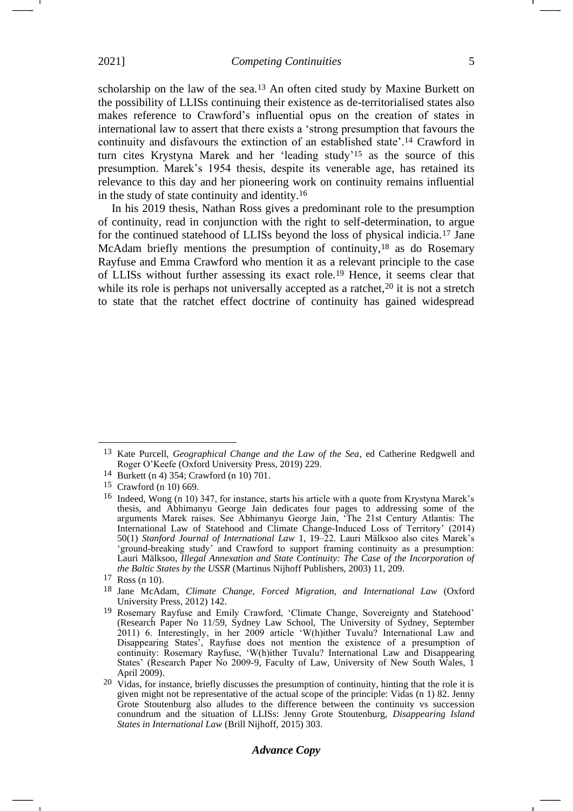scholarship on the law of the sea.<sup>13</sup> An often cited study by Maxine Burkett on the possibility of LLISs continuing their existence as de-territorialised states also makes reference to Crawford's influential opus on the creation of states in international law to assert that there exists a 'strong presumption that favours the continuity and disfavours the extinction of an established state'.<sup>14</sup> Crawford in turn cites Krystyna Marek and her 'leading study'<sup>15</sup> as the source of this presumption. Marek's 1954 thesis, despite its venerable age, has retained its relevance to this day and her pioneering work on continuity remains influential in the study of state continuity and identity.<sup>16</sup>

<span id="page-4-2"></span><span id="page-4-1"></span><span id="page-4-0"></span>In his 2019 thesis, Nathan Ross gives a predominant role to the presumption of continuity, read in conjunction with the right to self-determination, to argue for the continued statehood of LLISs beyond the loss of physical indicia.<sup>17</sup> Jane McAdam briefly mentions the presumption of continuity,<sup>18</sup> as do Rosemary Rayfuse and Emma Crawford who mention it as a relevant principle to the case of LLISs without further assessing its exact role.<sup>19</sup> Hence, it seems clear that while its role is perhaps not universally accepted as a ratchet, $20$  it is not a stretch to state that the ratchet effect doctrine of continuity has gained widespread

<sup>13</sup> Kate Purcell, *Geographical Change and the Law of the Sea*, ed Catherine Redgwell and Roger O'Keefe (Oxford University Press, 2019) 229.

<sup>14</sup> Burkett (n [4\)](#page-1-0) 354; Crawford (n [10\)](#page-3-0) 701.

<sup>15</sup> Crawford (n [10\)](#page-3-0) 669.

<sup>16</sup> Indeed, Wong (n [10\)](#page-3-0) 347, for instance, starts his article with a quote from Krystyna Marek's thesis, and Abhimanyu George Jain dedicates four pages to addressing some of the arguments Marek raises. See Abhimanyu George Jain, 'The 21st Century Atlantis: The International Law of Statehood and Climate Change-Induced Loss of Territory' (2014) 50(1) *Stanford Journal of International Law* 1, 19–22. Lauri Mälksoo also cites Marek's 'ground-breaking study' and Crawford to support framing continuity as a presumption: Lauri Mälksoo, *Illegal Annexation and State Continuity: The Case of the Incorporation of the Baltic States by the USSR* (Martinus Nijhoff Publishers, 2003) 11, 209.

<sup>17</sup> Ross (n [10\)](#page-3-0).

<sup>18</sup> Jane McAdam, *Climate Change, Forced Migration, and International Law* (Oxford University Press, 2012) 142.

<sup>19</sup> Rosemary Rayfuse and Emily Crawford, 'Climate Change, Sovereignty and Statehood' (Research Paper No 11/59, Sydney Law School, The University of Sydney, September 2011) 6. Interestingly, in her 2009 article 'W(h)ither Tuvalu? International Law and Disappearing States', Rayfuse does not mention the existence of a presumption of continuity: Rosemary Rayfuse, 'W(h)ither Tuvalu? International Law and Disappearing States' (Research Paper No 2009-9, Faculty of Law, University of New South Wales, 1 April 2009).

<sup>20</sup> Vidas, for instance, briefly discusses the presumption of continuity, hinting that the role it is given might not be representative of the actual scope of the principle: Vidas (n [1\)](#page-1-2) 82. Jenny Grote Stoutenburg also alludes to the difference between the continuity vs succession conundrum and the situation of LLISs: Jenny Grote Stoutenburg, *Disappearing Island States in International Law* (Brill Nijhoff, 2015) 303.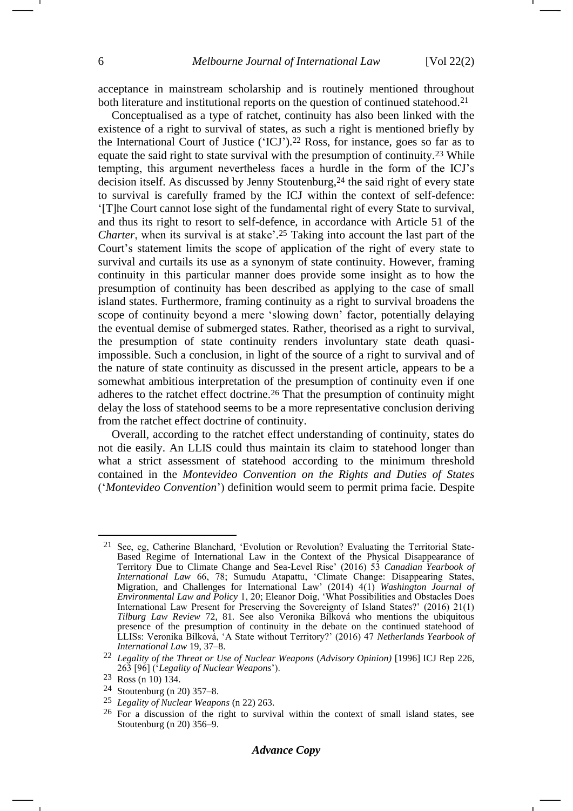<span id="page-5-1"></span>-1

acceptance in mainstream scholarship and is routinely mentioned throughout both literature and institutional reports on the question of continued statehood.<sup>21</sup>

<span id="page-5-0"></span>Conceptualised as a type of ratchet, continuity has also been linked with the existence of a right to survival of states, as such a right is mentioned briefly by the International Court of Justice ('ICJ').<sup>22</sup> Ross, for instance, goes so far as to equate the said right to state survival with the presumption of continuity.<sup>23</sup> While tempting, this argument nevertheless faces a hurdle in the form of the ICJ's decision itself. As discussed by Jenny Stoutenburg,<sup>24</sup> the said right of every state to survival is carefully framed by the ICJ within the context of self-defence: '[T]he Court cannot lose sight of the fundamental right of every State to survival, and thus its right to resort to self-defence, in accordance with Article 51 of the *Charter*, when its survival is at stake'. <sup>25</sup> Taking into account the last part of the Court's statement limits the scope of application of the right of every state to survival and curtails its use as a synonym of state continuity. However, framing continuity in this particular manner does provide some insight as to how the presumption of continuity has been described as applying to the case of small island states. Furthermore, framing continuity as a right to survival broadens the scope of continuity beyond a mere 'slowing down' factor, potentially delaying the eventual demise of submerged states. Rather, theorised as a right to survival, the presumption of state continuity renders involuntary state death quasiimpossible. Such a conclusion, in light of the source of a right to survival and of the nature of state continuity as discussed in the present article, appears to be a somewhat ambitious interpretation of the presumption of continuity even if one adheres to the ratchet effect doctrine.<sup>26</sup> That the presumption of continuity might delay the loss of statehood seems to be a more representative conclusion deriving from the ratchet effect doctrine of continuity.

Overall, according to the ratchet effect understanding of continuity, states do not die easily. An LLIS could thus maintain its claim to statehood longer than what a strict assessment of statehood according to the minimum threshold contained in the *Montevideo Convention on the Rights and Duties of States* ('*Montevideo Convention*') definition would seem to permit prima facie. Despite

<sup>21</sup> See, eg, Catherine Blanchard, 'Evolution or Revolution? Evaluating the Territorial State-Based Regime of International Law in the Context of the Physical Disappearance of Territory Due to Climate Change and Sea-Level Rise' (2016) 53 *Canadian Yearbook of International Law* 66, 78; Sumudu Atapattu, 'Climate Change: Disappearing States, Migration, and Challenges for International Law' (2014) 4(1) *Washington Journal of Environmental Law and Policy* 1, 20; Eleanor Doig, 'What Possibilities and Obstacles Does International Law Present for Preserving the Sovereignty of Island States?' (2016) 21(1) *Tilburg Law Review* 72, 81. See also Veronika Bílková who mentions the ubiquitous presence of the presumption of continuity in the debate on the continued statehood of LLISs: Veronika Bílková, 'A State without Territory?' (2016) 47 *Netherlands Yearbook of International Law* 19, 37–8.

<sup>22</sup> *Legality of the Threat or Use of Nuclear Weapons* (*Advisory Opinion)* [1996] ICJ Rep 226, 263 [96] ('*Legality of Nuclear Weapons*').

<sup>23</sup> Ross (n [10\)](#page-3-1) 134.

<sup>24</sup> Stoutenburg (n [20\)](#page-4-0) 357–8.

<sup>25</sup> *Legality of Nuclear Weapons* (n [22\)](#page-5-0) 263.

<sup>26</sup> For a discussion of the right to survival within the context of small island states, see Stoutenburg (n [20\)](#page-4-0) 356–9.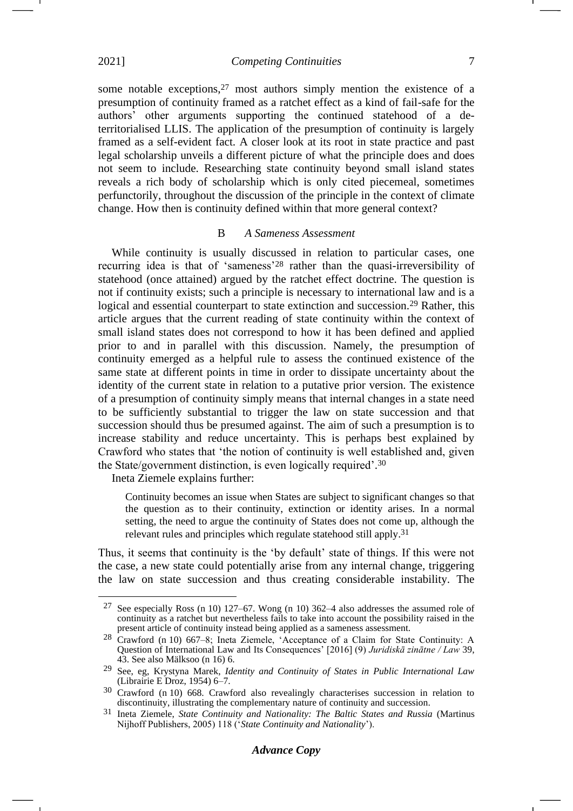2021] *Competing Continuities* 7

some notable exceptions,<sup>27</sup> most authors simply mention the existence of a presumption of continuity framed as a ratchet effect as a kind of fail-safe for the authors' other arguments supporting the continued statehood of a deterritorialised LLIS. The application of the presumption of continuity is largely framed as a self-evident fact. A closer look at its root in state practice and past legal scholarship unveils a different picture of what the principle does and does not seem to include. Researching state continuity beyond small island states reveals a rich body of scholarship which is only cited piecemeal, sometimes perfunctorily, throughout the discussion of the principle in the context of climate change. How then is continuity defined within that more general context?

#### <span id="page-6-1"></span>B *A Sameness Assessment*

While continuity is usually discussed in relation to particular cases, one recurring idea is that of 'sameness'<sup>28</sup> rather than the quasi-irreversibility of statehood (once attained) argued by the ratchet effect doctrine. The question is not if continuity exists; such a principle is necessary to international law and is a logical and essential counterpart to state extinction and succession.<sup>29</sup> Rather, this article argues that the current reading of state continuity within the context of small island states does not correspond to how it has been defined and applied prior to and in parallel with this discussion. Namely, the presumption of continuity emerged as a helpful rule to assess the continued existence of the same state at different points in time in order to dissipate uncertainty about the identity of the current state in relation to a putative prior version. The existence of a presumption of continuity simply means that internal changes in a state need to be sufficiently substantial to trigger the law on state succession and that succession should thus be presumed against. The aim of such a presumption is to increase stability and reduce uncertainty. This is perhaps best explained by Crawford who states that 'the notion of continuity is well established and, given the State/government distinction, is even logically required'. 30

Ineta Ziemele explains further:

<span id="page-6-0"></span>Continuity becomes an issue when States are subject to significant changes so that the question as to their continuity, extinction or identity arises. In a normal setting, the need to argue the continuity of States does not come up, although the relevant rules and principles which regulate statehood still apply.31

Thus, it seems that continuity is the 'by default' state of things. If this were not the case, a new state could potentially arise from any internal change, triggering the law on state succession and thus creating considerable instability. The

<sup>27</sup> See especially Ross (n [10\)](#page-3-1) 127–67. Wong (n [10\)](#page-3-1) 362–4 also addresses the assumed role of continuity as a ratchet but nevertheless fails to take into account the possibility raised in the present article of continuity instead being applied as a sameness assessment.

<sup>28</sup> Crawford (n [10\)](#page-3-1) 667–8; Ineta Ziemele, 'Acceptance of a Claim for State Continuity: A Question of International Law and Its Consequences' [2016] (9) *Juridiskā zinātne / Law* 39, 43. See also Mälksoo (n [16\)](#page-4-1) 6.

<sup>29</sup> See, eg, Krystyna Marek, *Identity and Continuity of States in Public International Law* (Librairie E Droz, 1954) 6–7.

<sup>30</sup> Crawford (n [10\)](#page-3-1) 668. Crawford also revealingly characterises succession in relation to discontinuity, illustrating the complementary nature of continuity and succession.

<sup>31</sup> Ineta Ziemele, *State Continuity and Nationality: The Baltic States and Russia* (Martinus Nijhoff Publishers, 2005) 118 ('*State Continuity and Nationality*').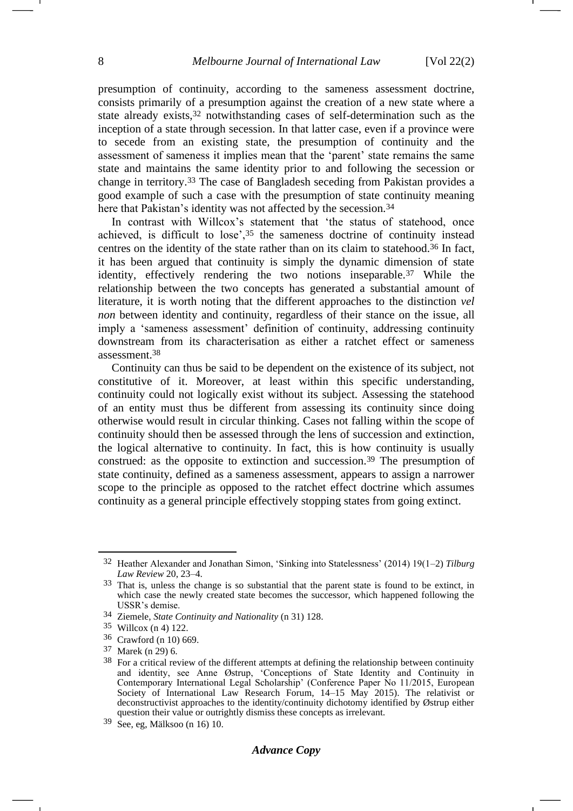<span id="page-7-0"></span>presumption of continuity, according to the sameness assessment doctrine, consists primarily of a presumption against the creation of a new state where a state already exists,<sup>32</sup> notwithstanding cases of self-determination such as the inception of a state through secession. In that latter case, even if a province were to secede from an existing state, the presumption of continuity and the assessment of sameness it implies mean that the 'parent' state remains the same state and maintains the same identity prior to and following the secession or change in territory.<sup>33</sup> The case of Bangladesh seceding from Pakistan provides a good example of such a case with the presumption of state continuity meaning here that Pakistan's identity was not affected by the secession.<sup>34</sup>

In contrast with Willcox's statement that 'the status of statehood, once achieved, is difficult to lose',<sup>35</sup> the sameness doctrine of continuity instead centres on the identity of the state rather than on its claim to statehood.<sup>36</sup> In fact, it has been argued that continuity is simply the dynamic dimension of state identity, effectively rendering the two notions inseparable.<sup>37</sup> While the relationship between the two concepts has generated a substantial amount of literature, it is worth noting that the different approaches to the distinction *vel non* between identity and continuity, regardless of their stance on the issue, all imply a 'sameness assessment' definition of continuity, addressing continuity downstream from its characterisation as either a ratchet effect or sameness assessment.<sup>38</sup>

<span id="page-7-1"></span>Continuity can thus be said to be dependent on the existence of its subject, not constitutive of it. Moreover, at least within this specific understanding, continuity could not logically exist without its subject. Assessing the statehood of an entity must thus be different from assessing its continuity since doing otherwise would result in circular thinking. Cases not falling within the scope of continuity should then be assessed through the lens of succession and extinction, the logical alternative to continuity. In fact, this is how continuity is usually construed: as the opposite to extinction and succession.<sup>39</sup> The presumption of state continuity, defined as a sameness assessment, appears to assign a narrower scope to the principle as opposed to the ratchet effect doctrine which assumes continuity as a general principle effectively stopping states from going extinct.

## *Advance Copy*

<sup>32</sup> Heather Alexander and Jonathan Simon, 'Sinking into Statelessness' (2014) 19(1–2) *Tilburg Law Review* 20, 23–4.

<sup>33</sup> That is, unless the change is so substantial that the parent state is found to be extinct, in which case the newly created state becomes the successor, which happened following the USSR's demise.

<sup>34</sup> Ziemele, *State Continuity and Nationality* ([n 31\)](#page-6-0) 128.

<sup>35</sup> Willcox (n [4\)](#page-1-0) 122.

<sup>36</sup> Crawford (n [10\)](#page-3-1) 669.

<sup>37</sup> Marek (n [29\)](#page-6-1) 6.

<sup>&</sup>lt;sup>38</sup> For a critical review of the different attempts at defining the relationship between continuity and identity, see Anne Østrup, 'Conceptions of State Identity and Continuity in Contemporary International Legal Scholarship' (Conference Paper No 11/2015, European Society of International Law Research Forum, 14–15 May 2015). The relativist or deconstructivist approaches to the identity/continuity dichotomy identified by Østrup either question their value or outrightly dismiss these concepts as irrelevant.

<sup>39</sup> See, eg, Mälksoo (n [16\)](#page-4-1) 10.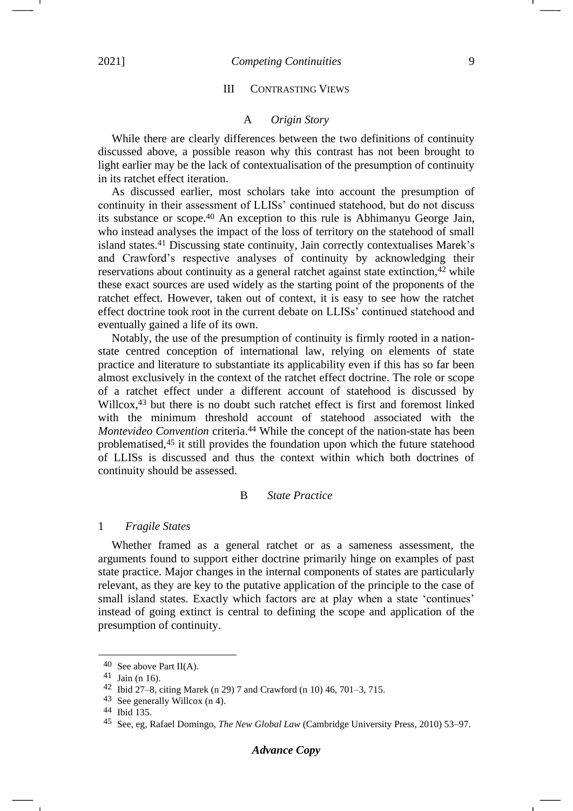## III CONTRASTING VIEWS

## A *Origin Story*

While there are clearly differences between the two definitions of continuity discussed above, a possible reason why this contrast has not been brought to light earlier may be the lack of contextualisation of the presumption of continuity in its ratchet effect iteration.

As discussed earlier, most scholars take into account the presumption of continuity in their assessment of LLISs' continued statehood, but do not discuss its substance or scope.<sup>40</sup> An exception to this rule is Abhimanyu George Jain, who instead analyses the impact of the loss of territory on the statehood of small island states.<sup>41</sup> Discussing state continuity, Jain correctly contextualises Marek's and Crawford's respective analyses of continuity by acknowledging their reservations about continuity as a general ratchet against state extinction,<sup>42</sup> while these exact sources are used widely as the starting point of the proponents of the ratchet effect. However, taken out of context, it is easy to see how the ratchet effect doctrine took root in the current debate on LLISs' continued statehood and eventually gained a life of its own.

Notably, the use of the presumption of continuity is firmly rooted in a nationstate centred conception of international law, relying on elements of state practice and literature to substantiate its applicability even if this has so far been almost exclusively in the context of the ratchet effect doctrine. The role or scope of a ratchet effect under a different account of statehood is discussed by Willcox,<sup>43</sup> but there is no doubt such ratchet effect is first and foremost linked with the minimum threshold account of statehood associated with the *Montevideo Convention* criteria.<sup>44</sup> While the concept of the nation-state has been problematised,<sup>45</sup> it still provides the foundation upon which the future statehood of LLISs is discussed and thus the context within which both doctrines of continuity should be assessed.

### B *State Practice*

#### 1 *Fragile States*

Whether framed as a general ratchet or as a sameness assessment, the arguments found to support either doctrine primarily hinge on examples of past state practice. Major changes in the internal components of states are particularly relevant, as they are key to the putative application of the principle to the case of small island states. Exactly which factors are at play when a state 'continues' instead of going extinct is central to defining the scope and application of the presumption of continuity.

<sup>40</sup> See above Part II(A).

<sup>41</sup> Jain (n [16\)](#page-4-1).

<sup>42</sup> Ibid 27–8, citing Marek (n [29\)](#page-6-1) 7 and Crawford (n [10\)](#page-3-1) 46, 701–3, 715.

<sup>43</sup> See generally Willcox (n [4\)](#page-1-0).

<sup>44</sup> Ibid 135.

<sup>45</sup> See, eg, Rafael Domingo, *The New Global Law* (Cambridge University Press, 2010) 53–97.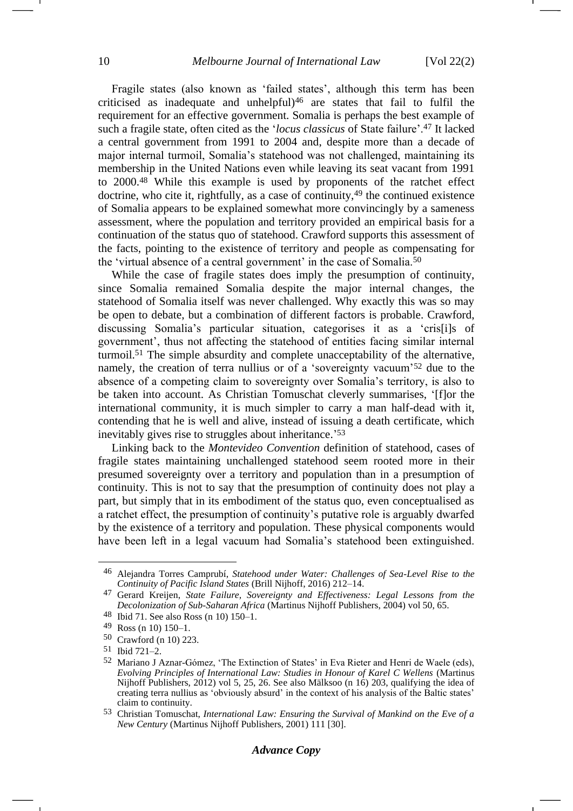Fragile states (also known as 'failed states', although this term has been criticised as inadequate and unhelpful $]$ <sup>46</sup> are states that fail to fulfil the requirement for an effective government. Somalia is perhaps the best example of such a fragile state, often cited as the '*locus classicus* of State failure'.<sup>47</sup> It lacked a central government from 1991 to 2004 and, despite more than a decade of major internal turmoil, Somalia's statehood was not challenged, maintaining its membership in the United Nations even while leaving its seat vacant from 1991 to 2000.<sup>48</sup> While this example is used by proponents of the ratchet effect doctrine, who cite it, rightfully, as a case of continuity, <sup>49</sup> the continued existence of Somalia appears to be explained somewhat more convincingly by a sameness assessment, where the population and territory provided an empirical basis for a continuation of the status quo of statehood. Crawford supports this assessment of the facts, pointing to the existence of territory and people as compensating for the 'virtual absence of a central government' in the case of Somalia.<sup>50</sup>

While the case of fragile states does imply the presumption of continuity, since Somalia remained Somalia despite the major internal changes, the statehood of Somalia itself was never challenged. Why exactly this was so may be open to debate, but a combination of different factors is probable. Crawford, discussing Somalia's particular situation, categorises it as a 'cris[i]s of government', thus not affecting the statehood of entities facing similar internal turmoil.<sup>51</sup> The simple absurdity and complete unacceptability of the alternative, namely, the creation of terra nullius or of a 'sovereignty vacuum'<sup>52</sup> due to the absence of a competing claim to sovereignty over Somalia's territory, is also to be taken into account. As Christian Tomuschat cleverly summarises, '[f]or the international community, it is much simpler to carry a man half-dead with it, contending that he is well and alive, instead of issuing a death certificate, which inevitably gives rise to struggles about inheritance.' 53

Linking back to the *Montevideo Convention* definition of statehood, cases of fragile states maintaining unchallenged statehood seem rooted more in their presumed sovereignty over a territory and population than in a presumption of continuity. This is not to say that the presumption of continuity does not play a part, but simply that in its embodiment of the status quo, even conceptualised as a ratchet effect, the presumption of continuity's putative role is arguably dwarfed by the existence of a territory and population. These physical components would have been left in a legal vacuum had Somalia's statehood been extinguished.

<sup>46</sup> Alejandra Torres Camprubí, *Statehood under Water: Challenges of Sea-Level Rise to the Continuity of Pacific Island States* (Brill Nijhoff, 2016) 212–14.

<sup>47</sup> Gerard Kreijen, *State Failure, Sovereignty and Effectiveness: Legal Lessons from the Decolonization of Sub-Saharan Africa* (Martinus Nijhoff Publishers, 2004) vol 50, 65.

<sup>48</sup> Ibid 71. See also Ross (n [10\)](#page-3-1) 150–1.

<sup>49</sup> Ross (n [10\)](#page-3-1) 150–1.

<sup>50</sup> Crawford (n [10\)](#page-3-1) 223.

<sup>51</sup> Ibid 721–2.

<sup>52</sup> Mariano J Aznar-Gómez, 'The Extinction of States' in Eva Rieter and Henri de Waele (eds), *Evolving Principles of International Law: Studies in Honour of Karel C Wellens* (Martinus Nijhoff Publishers, 2012) vol 5, 25, 26. See also Mälksoo (n [16\)](#page-4-1) 203, qualifying the idea of creating terra nullius as 'obviously absurd' in the context of his analysis of the Baltic states' claim to continuity.

<sup>53</sup> Christian Tomuschat, *International Law: Ensuring the Survival of Mankind on the Eve of a New Century (Martinus Nijhoff Publishers, 2001)* 111 [30].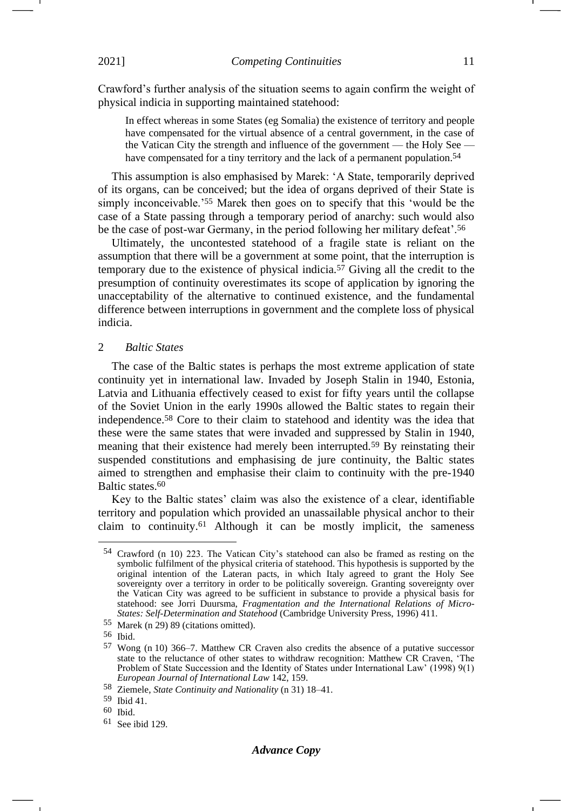Crawford's further analysis of the situation seems to again confirm the weight of physical indicia in supporting maintained statehood:

In effect whereas in some States (eg Somalia) the existence of territory and people have compensated for the virtual absence of a central government, in the case of the Vatican City the strength and influence of the government — the Holy See have compensated for a tiny territory and the lack of a permanent population.<sup>54</sup>

This assumption is also emphasised by Marek: 'A State, temporarily deprived of its organs, can be conceived; but the idea of organs deprived of their State is simply inconceivable.'<sup>55</sup> Marek then goes on to specify that this 'would be the case of a State passing through a temporary period of anarchy: such would also be the case of post-war Germany, in the period following her military defeat'.<sup>56</sup>

<span id="page-10-0"></span>Ultimately, the uncontested statehood of a fragile state is reliant on the assumption that there will be a government at some point, that the interruption is temporary due to the existence of physical indicia.<sup>57</sup> Giving all the credit to the presumption of continuity overestimates its scope of application by ignoring the unacceptability of the alternative to continued existence, and the fundamental difference between interruptions in government and the complete loss of physical indicia.

#### 2 *Baltic States*

The case of the Baltic states is perhaps the most extreme application of state continuity yet in international law. Invaded by Joseph Stalin in 1940, Estonia, Latvia and Lithuania effectively ceased to exist for fifty years until the collapse of the Soviet Union in the early 1990s allowed the Baltic states to regain their independence.<sup>58</sup> Core to their claim to statehood and identity was the idea that these were the same states that were invaded and suppressed by Stalin in 1940, meaning that their existence had merely been interrupted.<sup>59</sup> By reinstating their suspended constitutions and emphasising de jure continuity, the Baltic states aimed to strengthen and emphasise their claim to continuity with the pre-1940 Baltic states.<sup>60</sup>

Key to the Baltic states' claim was also the existence of a clear, identifiable territory and population which provided an unassailable physical anchor to their claim to continuity.<sup>61</sup> Although it can be mostly implicit, the sameness

-1

<sup>54</sup> Crawford (n [10\)](#page-3-1) 223. The Vatican City's statehood can also be framed as resting on the symbolic fulfilment of the physical criteria of statehood. This hypothesis is supported by the original intention of the Lateran pacts, in which Italy agreed to grant the Holy See sovereignty over a territory in order to be politically sovereign. Granting sovereignty over the Vatican City was agreed to be sufficient in substance to provide a physical basis for statehood: see Jorri Duursma, *Fragmentation and the International Relations of Micro-States: Self-Determination and Statehood* (Cambridge University Press, 1996) 411.

<sup>55</sup> Marek (n [29\)](#page-6-1) 89 (citations omitted).

<sup>56</sup> Ibid.

<sup>57</sup> Wong (n [10\)](#page-3-1) 366–7. Matthew CR Craven also credits the absence of a putative successor state to the reluctance of other states to withdraw recognition: Matthew CR Craven, 'The Problem of State Succession and the Identity of States under International Law' (1998) 9(1) *European Journal of International Law* 142, 159.

<sup>58</sup> Ziemele, *State Continuity and Nationality* ([n 31\)](#page-6-0) 18–41.

<sup>59</sup> Ibid 41.

<sup>60</sup> Ibid.

<sup>61</sup> See ibid 129.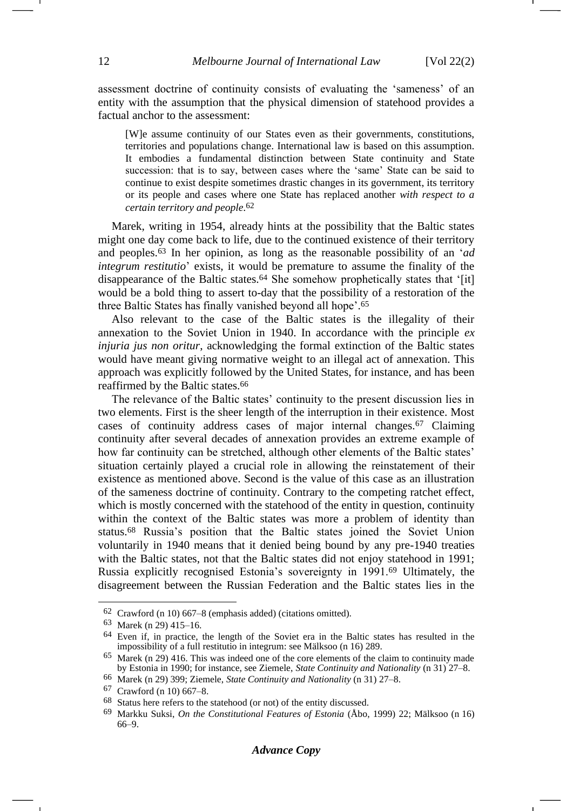assessment doctrine of continuity consists of evaluating the 'sameness' of an entity with the assumption that the physical dimension of statehood provides a factual anchor to the assessment:

[W]e assume continuity of our States even as their governments, constitutions, territories and populations change. International law is based on this assumption. It embodies a fundamental distinction between State continuity and State succession: that is to say, between cases where the 'same' State can be said to continue to exist despite sometimes drastic changes in its government, its territory or its people and cases where one State has replaced another *with respect to a certain territory and people*. 62

Marek, writing in 1954, already hints at the possibility that the Baltic states might one day come back to life, due to the continued existence of their territory and peoples.<sup>63</sup> In her opinion, as long as the reasonable possibility of an '*ad integrum restitutio*' exists, it would be premature to assume the finality of the disappearance of the Baltic states.<sup>64</sup> She somehow prophetically states that '[it] would be a bold thing to assert to-day that the possibility of a restoration of the three Baltic States has finally vanished beyond all hope'. 65

Also relevant to the case of the Baltic states is the illegality of their annexation to the Soviet Union in 1940. In accordance with the principle *ex injuria jus non oritur*, acknowledging the formal extinction of the Baltic states would have meant giving normative weight to an illegal act of annexation. This approach was explicitly followed by the United States, for instance, and has been reaffirmed by the Baltic states.<sup>66</sup>

The relevance of the Baltic states' continuity to the present discussion lies in two elements. First is the sheer length of the interruption in their existence. Most cases of continuity address cases of major internal changes.<sup>67</sup> Claiming continuity after several decades of annexation provides an extreme example of how far continuity can be stretched, although other elements of the Baltic states' situation certainly played a crucial role in allowing the reinstatement of their existence as mentioned above. Second is the value of this case as an illustration of the sameness doctrine of continuity. Contrary to the competing ratchet effect, which is mostly concerned with the statehood of the entity in question, continuity within the context of the Baltic states was more a problem of identity than status.<sup>68</sup> Russia's position that the Baltic states joined the Soviet Union voluntarily in 1940 means that it denied being bound by any pre-1940 treaties with the Baltic states, not that the Baltic states did not enjoy statehood in 1991; Russia explicitly recognised Estonia's sovereignty in 1991.<sup>69</sup> Ultimately, the disagreement between the Russian Federation and the Baltic states lies in the

 $62$  Crawford (n [10\)](#page-3-1)  $667-8$  (emphasis added) (citations omitted).

<sup>63</sup> Marek (n [29\)](#page-6-1) 415–16.

 $64$  Even if, in practice, the length of the Soviet era in the Baltic states has resulted in the impossibility of a full restitutio in integrum: see Mälksoo (n [16\)](#page-4-1) 289.

<sup>65</sup> Marek (n [29\)](#page-6-1) 416. This was indeed one of the core elements of the claim to continuity made by Estonia in 1990; for instance, see Ziemele, *State Continuity and Nationality* (n [31\)](#page-6-0) 27–8.

<sup>66</sup> Marek (n [29\)](#page-6-1) 399; Ziemele, *State Continuity and Nationality* (n [31\)](#page-6-0) 27–8.

<sup>67</sup> Crawford (n [10\)](#page-3-1) 667–8.

<sup>&</sup>lt;sup>68</sup> Status here refers to the statehood (or not) of the entity discussed.<br><sup>69</sup> Markku Suksi *On the Constitutional Features of Estonia* ( $\hat{A}$ bo

<sup>69</sup> Markku Suksi, *On the Constitutional Features of Estonia* (Åbo, 1999) 22; Mälksoo (n [16\)](#page-4-1) 66–9.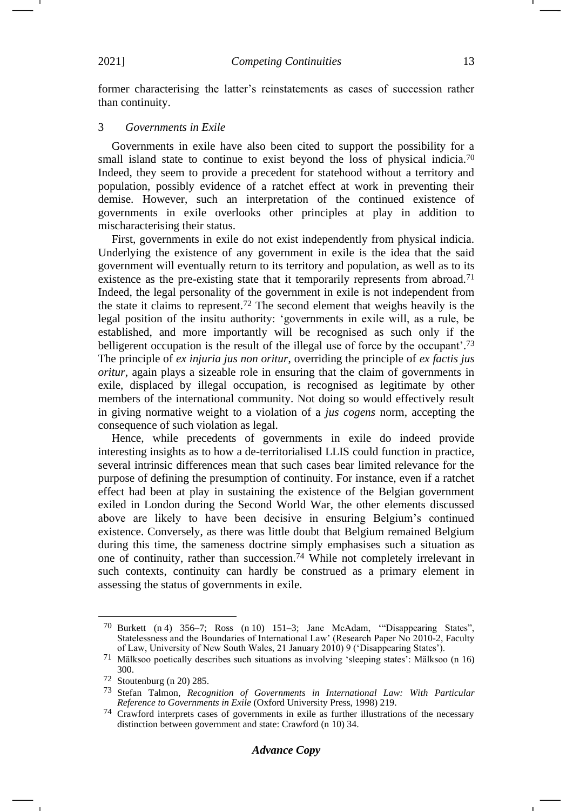former characterising the latter's reinstatements as cases of succession rather than continuity.

#### 3 *Governments in Exile*

<span id="page-12-0"></span>Governments in exile have also been cited to support the possibility for a small island state to continue to exist beyond the loss of physical indicia.<sup>70</sup> Indeed, they seem to provide a precedent for statehood without a territory and population, possibly evidence of a ratchet effect at work in preventing their demise. However, such an interpretation of the continued existence of governments in exile overlooks other principles at play in addition to mischaracterising their status.

First, governments in exile do not exist independently from physical indicia. Underlying the existence of any government in exile is the idea that the said government will eventually return to its territory and population, as well as to its existence as the pre-existing state that it temporarily represents from abroad.<sup>71</sup> Indeed, the legal personality of the government in exile is not independent from the state it claims to represent.<sup>72</sup> The second element that weighs heavily is the legal position of the insitu authority: 'governments in exile will, as a rule, be established, and more importantly will be recognised as such only if the belligerent occupation is the result of the illegal use of force by the occupant'.<sup>73</sup> The principle of *ex injuria jus non oritur*, overriding the principle of *ex factis jus oritur*, again plays a sizeable role in ensuring that the claim of governments in exile, displaced by illegal occupation, is recognised as legitimate by other members of the international community. Not doing so would effectively result in giving normative weight to a violation of a *jus cogens* norm, accepting the consequence of such violation as legal.

Hence, while precedents of governments in exile do indeed provide interesting insights as to how a de-territorialised LLIS could function in practice, several intrinsic differences mean that such cases bear limited relevance for the purpose of defining the presumption of continuity. For instance, even if a ratchet effect had been at play in sustaining the existence of the Belgian government exiled in London during the Second World War, the other elements discussed above are likely to have been decisive in ensuring Belgium's continued existence. Conversely, as there was little doubt that Belgium remained Belgium during this time, the sameness doctrine simply emphasises such a situation as one of continuity, rather than succession.<sup>74</sup> While not completely irrelevant in such contexts, continuity can hardly be construed as a primary element in assessing the status of governments in exile.

<sup>70</sup> Burkett (n [4\)](#page-1-0) 356–7; Ross (n [10\)](#page-3-1) 151–3; Jane McAdam, '"Disappearing States", Statelessness and the Boundaries of International Law' (Research Paper No 2010-2, Faculty of Law, University of New South Wales, 21 January 2010) 9 ('Disappearing States').

<sup>71</sup> Mälksoo poetically describes such situations as involving 'sleeping states': Mälksoo (n [16\)](#page-4-1) 300.

<sup>72</sup> Stoutenburg (n [20\)](#page-4-0) 285.

<sup>73</sup> Stefan Talmon, *Recognition of Governments in International Law: With Particular Reference to Governments in Exile* (Oxford University Press, 1998) 219.

<sup>74</sup> Crawford interprets cases of governments in exile as further illustrations of the necessary distinction between government and state: Crawford (n [10\)](#page-3-1) 34.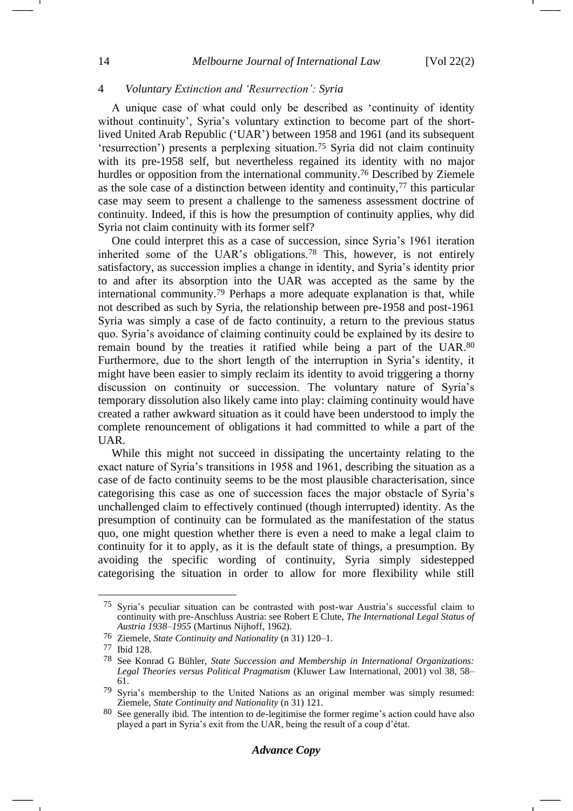## 4 *Voluntary Extinction and 'Resurrection': Syria*

<span id="page-13-0"></span>A unique case of what could only be described as 'continuity of identity without continuity', Syria's voluntary extinction to become part of the shortlived United Arab Republic ('UAR') between 1958 and 1961 (and its subsequent 'resurrection') presents a perplexing situation.<sup>75</sup> Syria did not claim continuity with its pre-1958 self, but nevertheless regained its identity with no major hurdles or opposition from the international community.<sup>76</sup> Described by Ziemele as the sole case of a distinction between identity and continuity,<sup>77</sup> this particular case may seem to present a challenge to the sameness assessment doctrine of continuity. Indeed, if this is how the presumption of continuity applies, why did Syria not claim continuity with its former self?

One could interpret this as a case of succession, since Syria's 1961 iteration inherited some of the UAR's obligations.<sup>78</sup> This, however, is not entirely satisfactory, as succession implies a change in identity, and Syria's identity prior to and after its absorption into the UAR was accepted as the same by the international community.<sup>79</sup> Perhaps a more adequate explanation is that, while not described as such by Syria, the relationship between pre-1958 and post-1961 Syria was simply a case of de facto continuity, a return to the previous status quo. Syria's avoidance of claiming continuity could be explained by its desire to remain bound by the treaties it ratified while being a part of the UAR.<sup>80</sup> Furthermore, due to the short length of the interruption in Syria's identity, it might have been easier to simply reclaim its identity to avoid triggering a thorny discussion on continuity or succession. The voluntary nature of Syria's temporary dissolution also likely came into play: claiming continuity would have created a rather awkward situation as it could have been understood to imply the complete renouncement of obligations it had committed to while a part of the UAR.

While this might not succeed in dissipating the uncertainty relating to the exact nature of Syria's transitions in 1958 and 1961, describing the situation as a case of de facto continuity seems to be the most plausible characterisation, since categorising this case as one of succession faces the major obstacle of Syria's unchallenged claim to effectively continued (though interrupted) identity. As the presumption of continuity can be formulated as the manifestation of the status quo, one might question whether there is even a need to make a legal claim to continuity for it to apply, as it is the default state of things, a presumption. By avoiding the specific wording of continuity, Syria simply sidestepped categorising the situation in order to allow for more flexibility while still

<sup>75</sup> Syria's peculiar situation can be contrasted with post-war Austria's successful claim to continuity with pre-Anschluss Austria: see Robert E Clute, *The International Legal Status of Austria 1938–1955* (Martinus Nijhoff, 1962).

<sup>76</sup> Ziemele, *State Continuity and Nationality* ([n 31\)](#page-6-0) 120–1.

<sup>77</sup> Ibid 128.

<sup>78</sup> See Konrad G Bühler, *State Succession and Membership in International Organizations: Legal Theories versus Political Pragmatism* (Kluwer Law International, 2001) vol 38, 58– 61.

<sup>79</sup> Syria's membership to the United Nations as an original member was simply resumed: Ziemele, *State Continuity and Nationality* (n [31\)](#page-6-0) 121.

<sup>80</sup> See generally ibid. The intention to de-legitimise the former regime's action could have also played a part in Syria's exit from the UAR, being the result of a coup d'état.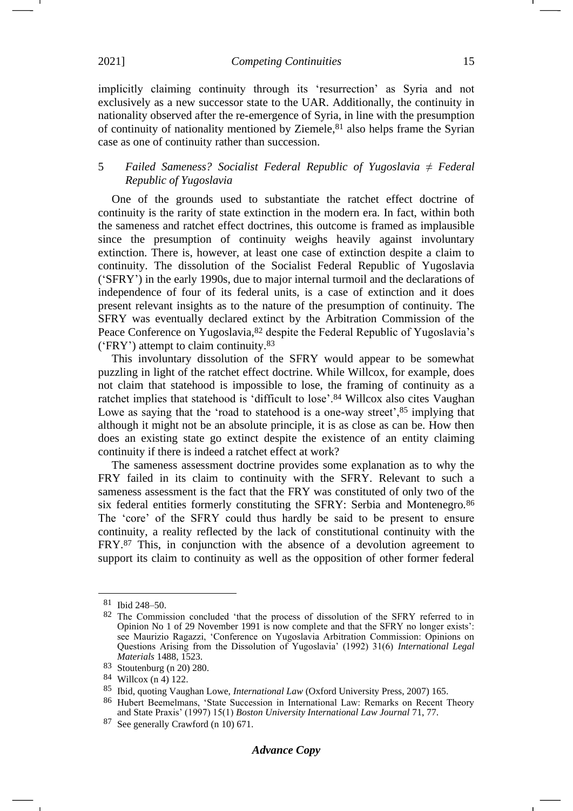implicitly claiming continuity through its 'resurrection' as Syria and not exclusively as a new successor state to the UAR. Additionally, the continuity in nationality observed after the re-emergence of Syria, in line with the presumption of continuity of nationality mentioned by Ziemele, <sup>81</sup> also helps frame the Syrian case as one of continuity rather than succession.

## 5 *Failed Sameness? Socialist Federal Republic of Yugoslavia ≠ Federal Republic of Yugoslavia*

One of the grounds used to substantiate the ratchet effect doctrine of continuity is the rarity of state extinction in the modern era. In fact, within both the sameness and ratchet effect doctrines, this outcome is framed as implausible since the presumption of continuity weighs heavily against involuntary extinction. There is, however, at least one case of extinction despite a claim to continuity. The dissolution of the Socialist Federal Republic of Yugoslavia ('SFRY') in the early 1990s, due to major internal turmoil and the declarations of independence of four of its federal units, is a case of extinction and it does present relevant insights as to the nature of the presumption of continuity. The SFRY was eventually declared extinct by the Arbitration Commission of the Peace Conference on Yugoslavia,<sup>82</sup> despite the Federal Republic of Yugoslavia's ('FRY') attempt to claim continuity.<sup>83</sup>

This involuntary dissolution of the SFRY would appear to be somewhat puzzling in light of the ratchet effect doctrine. While Willcox, for example, does not claim that statehood is impossible to lose, the framing of continuity as a ratchet implies that statehood is 'difficult to lose'.<sup>84</sup> Willcox also cites Vaughan Lowe as saying that the 'road to statehood is a one-way street',<sup>85</sup> implying that although it might not be an absolute principle, it is as close as can be. How then does an existing state go extinct despite the existence of an entity claiming continuity if there is indeed a ratchet effect at work?

<span id="page-14-0"></span>The sameness assessment doctrine provides some explanation as to why the FRY failed in its claim to continuity with the SFRY. Relevant to such a sameness assessment is the fact that the FRY was constituted of only two of the six federal entities formerly constituting the SFRY: Serbia and Montenegro.<sup>86</sup> The 'core' of the SFRY could thus hardly be said to be present to ensure continuity, a reality reflected by the lack of constitutional continuity with the FRY.<sup>87</sup> This, in conjunction with the absence of a devolution agreement to support its claim to continuity as well as the opposition of other former federal

-

<sup>81</sup> Ibid 248–50.

<sup>82</sup> The Commission concluded 'that the process of dissolution of the SFRY referred to in Opinion No 1 of 29 November 1991 is now complete and that the SFRY no longer exists': see Maurizio Ragazzi, 'Conference on Yugoslavia Arbitration Commission: Opinions on Questions Arising from the Dissolution of Yugoslavia' (1992) 31(6) *International Legal Materials* 1488, 1523.

<sup>83</sup> Stoutenburg (n [20\)](#page-4-0) 280.

<sup>84</sup> Willcox (n [4\)](#page-1-0) 122.

<sup>85</sup> Ibid, quoting Vaughan Lowe, *International Law* (Oxford University Press, 2007) 165.

<sup>86</sup> Hubert Beemelmans, 'State Succession in International Law: Remarks on Recent Theory and State Praxis' (1997) 15(1) *Boston University International Law Journal* 71, 77.

<sup>87</sup> See generally Crawford (n [10\)](#page-3-1) 671.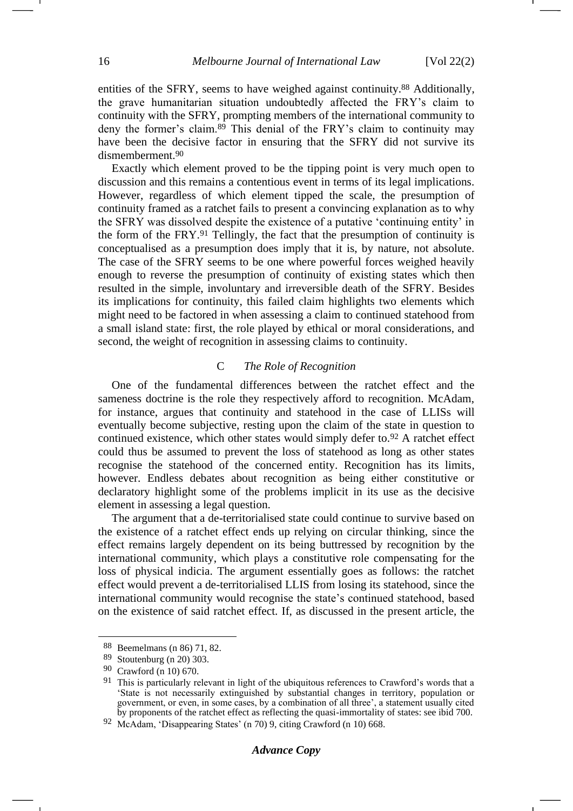entities of the SFRY, seems to have weighed against continuity.<sup>88</sup> Additionally, the grave humanitarian situation undoubtedly affected the FRY's claim to continuity with the SFRY, prompting members of the international community to deny the former's claim.<sup>89</sup> This denial of the FRY's claim to continuity may have been the decisive factor in ensuring that the SFRY did not survive its dismemberment.<sup>90</sup>

Exactly which element proved to be the tipping point is very much open to discussion and this remains a contentious event in terms of its legal implications. However, regardless of which element tipped the scale, the presumption of continuity framed as a ratchet fails to present a convincing explanation as to why the SFRY was dissolved despite the existence of a putative 'continuing entity' in the form of the FRY.<sup>91</sup> Tellingly, the fact that the presumption of continuity is conceptualised as a presumption does imply that it is, by nature, not absolute. The case of the SFRY seems to be one where powerful forces weighed heavily enough to reverse the presumption of continuity of existing states which then resulted in the simple, involuntary and irreversible death of the SFRY. Besides its implications for continuity, this failed claim highlights two elements which might need to be factored in when assessing a claim to continued statehood from a small island state: first, the role played by ethical or moral considerations, and second, the weight of recognition in assessing claims to continuity.

## C *The Role of Recognition*

One of the fundamental differences between the ratchet effect and the sameness doctrine is the role they respectively afford to recognition. McAdam, for instance, argues that continuity and statehood in the case of LLISs will eventually become subjective, resting upon the claim of the state in question to continued existence, which other states would simply defer to.<sup>92</sup> A ratchet effect could thus be assumed to prevent the loss of statehood as long as other states recognise the statehood of the concerned entity. Recognition has its limits, however. Endless debates about recognition as being either constitutive or declaratory highlight some of the problems implicit in its use as the decisive element in assessing a legal question.

The argument that a de-territorialised state could continue to survive based on the existence of a ratchet effect ends up relying on circular thinking, since the effect remains largely dependent on its being buttressed by recognition by the international community, which plays a constitutive role compensating for the loss of physical indicia. The argument essentially goes as follows: the ratchet effect would prevent a de-territorialised LLIS from losing its statehood, since the international community would recognise the state's continued statehood, based on the existence of said ratchet effect. If, as discussed in the present article, the

<sup>88</sup> Beemelmans (n [86\)](#page-14-0) 71, 82.

<sup>89</sup> Stoutenburg (n [20\)](#page-4-0) 303.

<sup>90</sup> Crawford (n [10\)](#page-3-1) 670.

<sup>&</sup>lt;sup>91</sup> This is particularly relevant in light of the ubiquitous references to Crawford's words that a 'State is not necessarily extinguished by substantial changes in territory, population or government, or even, in some cases, by a combination of all three', a statement usually cited by proponents of the ratchet effect as reflecting the quasi-immortality of states: see ibid 700.

<sup>92</sup> McAdam, 'Disappearing States' (n [70\)](#page-12-0) 9, citing Crawford (n [10\)](#page-3-1) 668.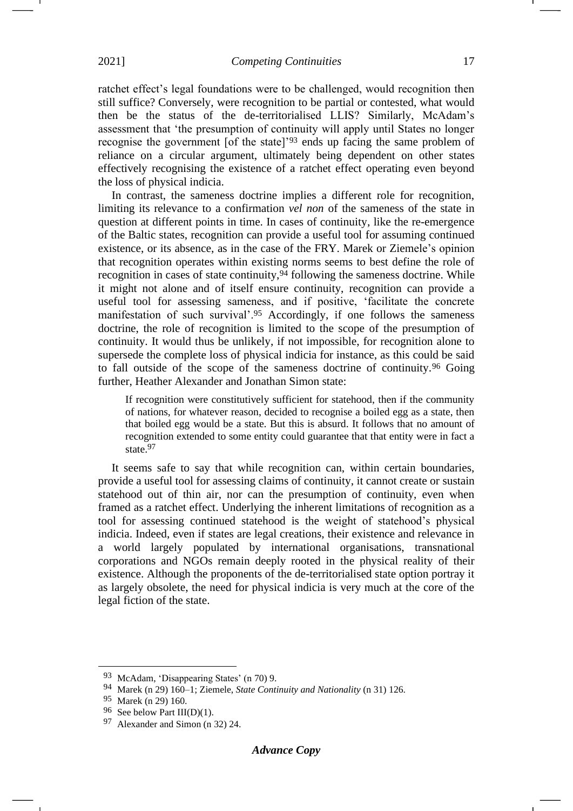ratchet effect's legal foundations were to be challenged, would recognition then still suffice? Conversely, were recognition to be partial or contested, what would then be the status of the de-territorialised LLIS? Similarly, McAdam's assessment that 'the presumption of continuity will apply until States no longer recognise the government [of the state]'<sup>93</sup> ends up facing the same problem of reliance on a circular argument, ultimately being dependent on other states effectively recognising the existence of a ratchet effect operating even beyond the loss of physical indicia.

In contrast, the sameness doctrine implies a different role for recognition, limiting its relevance to a confirmation *vel non* of the sameness of the state in question at different points in time. In cases of continuity, like the re-emergence of the Baltic states, recognition can provide a useful tool for assuming continued existence, or its absence, as in the case of the FRY. Marek or Ziemele's opinion that recognition operates within existing norms seems to best define the role of recognition in cases of state continuity,<sup>94</sup> following the sameness doctrine. While it might not alone and of itself ensure continuity, recognition can provide a useful tool for assessing sameness, and if positive, 'facilitate the concrete manifestation of such survival'.<sup>95</sup> Accordingly, if one follows the sameness doctrine, the role of recognition is limited to the scope of the presumption of continuity. It would thus be unlikely, if not impossible, for recognition alone to supersede the complete loss of physical indicia for instance, as this could be said to fall outside of the scope of the sameness doctrine of continuity.<sup>96</sup> Going further, Heather Alexander and Jonathan Simon state:

If recognition were constitutively sufficient for statehood, then if the community of nations, for whatever reason, decided to recognise a boiled egg as a state, then that boiled egg would be a state. But this is absurd. It follows that no amount of recognition extended to some entity could guarantee that that entity were in fact a state.<sup>97</sup>

It seems safe to say that while recognition can, within certain boundaries, provide a useful tool for assessing claims of continuity, it cannot create or sustain statehood out of thin air, nor can the presumption of continuity, even when framed as a ratchet effect. Underlying the inherent limitations of recognition as a tool for assessing continued statehood is the weight of statehood's physical indicia. Indeed, even if states are legal creations, their existence and relevance in a world largely populated by international organisations, transnational corporations and NGOs remain deeply rooted in the physical reality of their existence. Although the proponents of the de-territorialised state option portray it as largely obsolete, the need for physical indicia is very much at the core of the legal fiction of the state.

<sup>93</sup> McAdam, 'Disappearing States' (n [70\)](#page-12-0) 9.

<sup>94</sup> Marek (n [29\)](#page-6-1) 160–1; Ziemele, *State Continuity and Nationality* (n [31\)](#page-6-0) 126.

<sup>95</sup> Marek (n [29\)](#page-6-1) 160.

<sup>96</sup> See below Part III(D)(1).

<sup>97</sup> Alexander and Simon (n [32\)](#page-7-0) 24.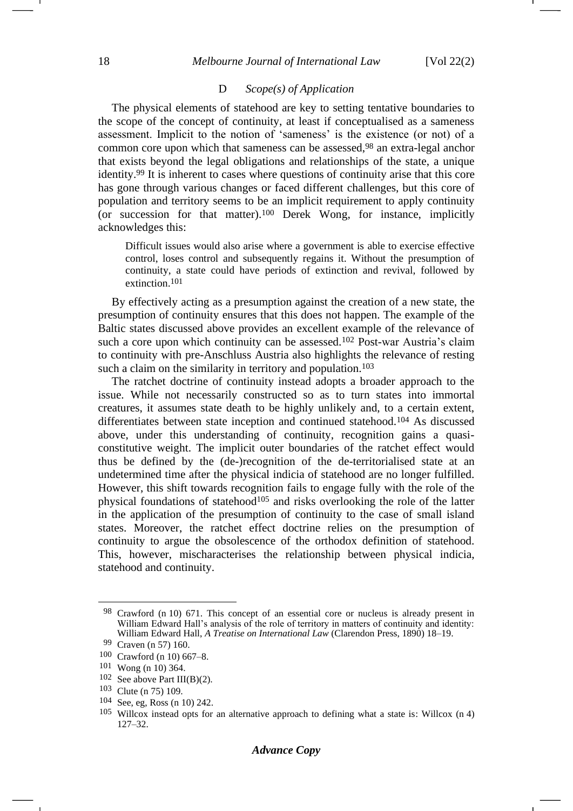#### D *Scope(s) of Application*

The physical elements of statehood are key to setting tentative boundaries to the scope of the concept of continuity, at least if conceptualised as a sameness assessment. Implicit to the notion of 'sameness' is the existence (or not) of a common core upon which that sameness can be assessed,<sup>98</sup> an extra-legal anchor that exists beyond the legal obligations and relationships of the state, a unique identity.<sup>99</sup> It is inherent to cases where questions of continuity arise that this core has gone through various changes or faced different challenges, but this core of population and territory seems to be an implicit requirement to apply continuity (or succession for that matter).<sup>100</sup> Derek Wong, for instance, implicitly acknowledges this:

Difficult issues would also arise where a government is able to exercise effective control, loses control and subsequently regains it. Without the presumption of continuity, a state could have periods of extinction and revival, followed by extinction.101

By effectively acting as a presumption against the creation of a new state, the presumption of continuity ensures that this does not happen. The example of the Baltic states discussed above provides an excellent example of the relevance of such a core upon which continuity can be assessed.<sup>102</sup> Post-war Austria's claim to continuity with pre-Anschluss Austria also highlights the relevance of resting such a claim on the similarity in territory and population.<sup>103</sup>

The ratchet doctrine of continuity instead adopts a broader approach to the issue. While not necessarily constructed so as to turn states into immortal creatures, it assumes state death to be highly unlikely and, to a certain extent, differentiates between state inception and continued statehood.<sup>104</sup> As discussed above, under this understanding of continuity, recognition gains a quasiconstitutive weight. The implicit outer boundaries of the ratchet effect would thus be defined by the (de-)recognition of the de-territorialised state at an undetermined time after the physical indicia of statehood are no longer fulfilled. However, this shift towards recognition fails to engage fully with the role of the physical foundations of statehood<sup>105</sup> and risks overlooking the role of the latter in the application of the presumption of continuity to the case of small island states. Moreover, the ratchet effect doctrine relies on the presumption of continuity to argue the obsolescence of the orthodox definition of statehood. This, however, mischaracterises the relationship between physical indicia, statehood and continuity.

<sup>98</sup> Crawford (n [10\)](#page-3-1) 671. This concept of an essential core or nucleus is already present in William Edward Hall's analysis of the role of territory in matters of continuity and identity: William Edward Hall, *A Treatise on International Law* (Clarendon Press, 1890) 18–19.

<sup>99</sup> Craven (n [57\)](#page-10-0) 160.

<sup>100</sup> Crawford (n [10\)](#page-3-1) 667–8.

<sup>101</sup> Wong (n [10\)](#page-3-1) 364.

 $102$  See above Part III(B)(2).

<sup>103</sup> Clute (n [75\)](#page-13-0) 109.

<sup>104</sup> See, eg, Ross (n [10\)](#page-3-1) 242.

<sup>105</sup> Willcox instead opts for an alternative approach to defining what a state is: Willcox (n [4\)](#page-1-0) 127–32.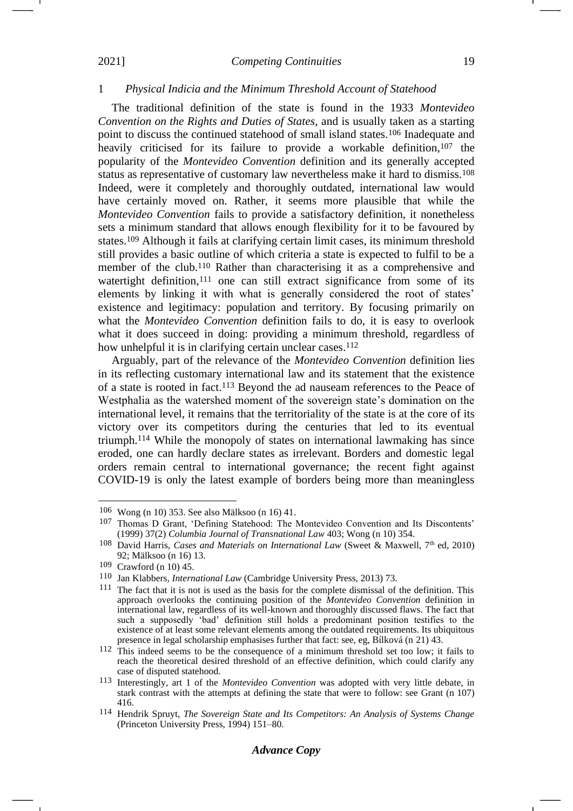#### 1 *Physical Indicia and the Minimum Threshold Account of Statehood*

<span id="page-18-0"></span>The traditional definition of the state is found in the 1933 *Montevideo Convention on the Rights and Duties of States*, and is usually taken as a starting point to discuss the continued statehood of small island states.<sup>106</sup> Inadequate and heavily criticised for its failure to provide a workable definition,<sup>107</sup> the popularity of the *Montevideo Convention* definition and its generally accepted status as representative of customary law nevertheless make it hard to dismiss.<sup>108</sup> Indeed, were it completely and thoroughly outdated, international law would have certainly moved on. Rather, it seems more plausible that while the *Montevideo Convention* fails to provide a satisfactory definition, it nonetheless sets a minimum standard that allows enough flexibility for it to be favoured by states.<sup>109</sup> Although it fails at clarifying certain limit cases, its minimum threshold still provides a basic outline of which criteria a state is expected to fulfil to be a member of the club.<sup>110</sup> Rather than characterising it as a comprehensive and watertight definition,<sup>111</sup> one can still extract significance from some of its elements by linking it with what is generally considered the root of states' existence and legitimacy: population and territory. By focusing primarily on what the *Montevideo Convention* definition fails to do, it is easy to overlook what it does succeed in doing: providing a minimum threshold, regardless of how unhelpful it is in clarifying certain unclear cases.<sup>112</sup>

Arguably, part of the relevance of the *Montevideo Convention* definition lies in its reflecting customary international law and its statement that the existence of a state is rooted in fact.<sup>113</sup> Beyond the ad nauseam references to the Peace of Westphalia as the watershed moment of the sovereign state's domination on the international level, it remains that the territoriality of the state is at the core of its victory over its competitors during the centuries that led to its eventual triumph.<sup>114</sup> While the monopoly of states on international lawmaking has since eroded, one can hardly declare states as irrelevant. Borders and domestic legal orders remain central to international governance; the recent fight against COVID-19 is only the latest example of borders being more than meaningless

## *Advance Copy*

<sup>106</sup> Wong (n [10\)](#page-3-1) 353. See also Mälksoo (n [16\)](#page-4-1) 41.

<sup>107</sup> Thomas D Grant, 'Defining Statehood: The Montevideo Convention and Its Discontents' (1999) 37(2) *Columbia Journal of Transnational Law* 403; Wong (n [10\)](#page-3-1) 354.

<sup>&</sup>lt;sup>108</sup> David Harris, *Cases and Materials on International Law* (Sweet & Maxwell, 7<sup>th</sup> ed, 2010) 92; Mälksoo (n [16\)](#page-4-1) 13.

<sup>109</sup> Crawford (n [10\)](#page-3-1) 45.

<sup>110</sup> Jan Klabbers, *International Law* (Cambridge University Press, 2013) 73.

<sup>111</sup> The fact that it is not is used as the basis for the complete dismissal of the definition. This approach overlooks the continuing position of the *Montevideo Convention* definition in international law, regardless of its well-known and thoroughly discussed flaws. The fact that such a supposedly 'bad' definition still holds a predominant position testifies to the existence of at least some relevant elements among the outdated requirements. Its ubiquitous presence in legal scholarship emphasises further that fact: see, eg, Bílková (n [21\)](#page-5-1) 43.

<sup>112</sup> This indeed seems to be the consequence of a minimum threshold set too low; it fails to reach the theoretical desired threshold of an effective definition, which could clarify any case of disputed statehood.

<sup>113</sup> Interestingly, art 1 of the *Montevideo Convention* was adopted with very little debate, in stark contrast with the attempts at defining the state that were to follow: see Grant (n [107\)](#page-18-0) 416.

<sup>114</sup> Hendrik Spruyt, *The Sovereign State and Its Competitors: An Analysis of Systems Change* (Princeton University Press, 1994) 151–80.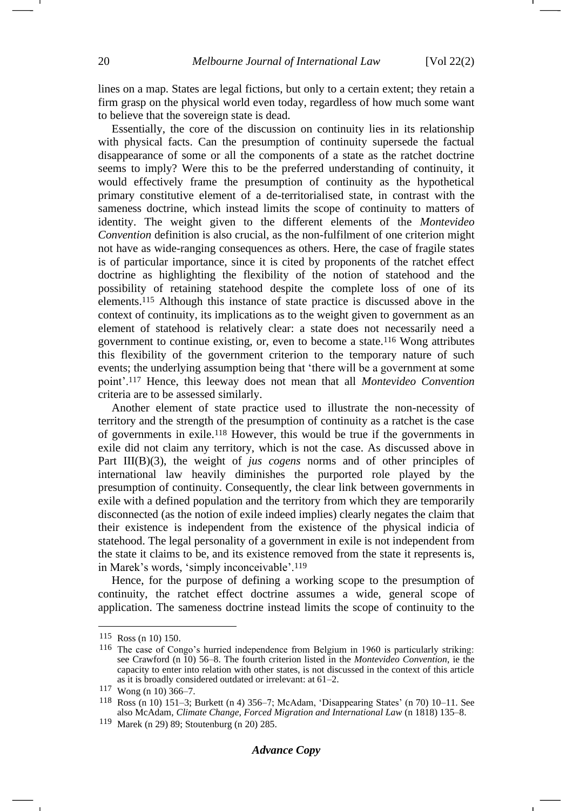lines on a map. States are legal fictions, but only to a certain extent; they retain a firm grasp on the physical world even today, regardless of how much some want to believe that the sovereign state is dead.

Essentially, the core of the discussion on continuity lies in its relationship with physical facts. Can the presumption of continuity supersede the factual disappearance of some or all the components of a state as the ratchet doctrine seems to imply? Were this to be the preferred understanding of continuity, it would effectively frame the presumption of continuity as the hypothetical primary constitutive element of a de-territorialised state, in contrast with the sameness doctrine, which instead limits the scope of continuity to matters of identity. The weight given to the different elements of the *Montevideo Convention* definition is also crucial, as the non-fulfilment of one criterion might not have as wide-ranging consequences as others. Here, the case of fragile states is of particular importance, since it is cited by proponents of the ratchet effect doctrine as highlighting the flexibility of the notion of statehood and the possibility of retaining statehood despite the complete loss of one of its elements.<sup>115</sup> Although this instance of state practice is discussed above in the context of continuity, its implications as to the weight given to government as an element of statehood is relatively clear: a state does not necessarily need a government to continue existing, or, even to become a state.<sup>116</sup> Wong attributes this flexibility of the government criterion to the temporary nature of such events; the underlying assumption being that 'there will be a government at some point'.<sup>117</sup> Hence, this leeway does not mean that all *Montevideo Convention* criteria are to be assessed similarly.

Another element of state practice used to illustrate the non-necessity of territory and the strength of the presumption of continuity as a ratchet is the case of governments in exile.<sup>118</sup> However, this would be true if the governments in exile did not claim any territory, which is not the case. As discussed above in Part III(B)(3), the weight of *jus cogens* norms and of other principles of international law heavily diminishes the purported role played by the presumption of continuity. Consequently, the clear link between governments in exile with a defined population and the territory from which they are temporarily disconnected (as the notion of exile indeed implies) clearly negates the claim that their existence is independent from the existence of the physical indicia of statehood. The legal personality of a government in exile is not independent from the state it claims to be, and its existence removed from the state it represents is, in Marek's words, 'simply inconceivable'.<sup>119</sup>

Hence, for the purpose of defining a working scope to the presumption of continuity, the ratchet effect doctrine assumes a wide, general scope of application. The sameness doctrine instead limits the scope of continuity to the

<sup>115</sup> Ross (n [10\)](#page-3-1) 150.

<sup>116</sup> The case of Congo's hurried independence from Belgium in 1960 is particularly striking: see Crawford (n [10\)](#page-3-1) 56–8. The fourth criterion listed in the *Montevideo Convention*, ie the capacity to enter into relation with other states, is not discussed in the context of this article as it is broadly considered outdated or irrelevant: at 61–2.

<sup>117</sup> Wong (n [10\)](#page-3-1) 366–7.

<sup>118</sup> Ross (n [10\)](#page-3-1) 151–3; Burkett (n [4\)](#page-1-0) 356–7; McAdam, 'Disappearing States' (n [70\)](#page-12-0) 10–11. See also McAdam, *Climate Change, Forced Migration and International Law* (n [1818\)](#page-4-2) 135–8.

<sup>119</sup> Marek (n [29\)](#page-6-1) 89; Stoutenburg (n [20\)](#page-4-0) 285.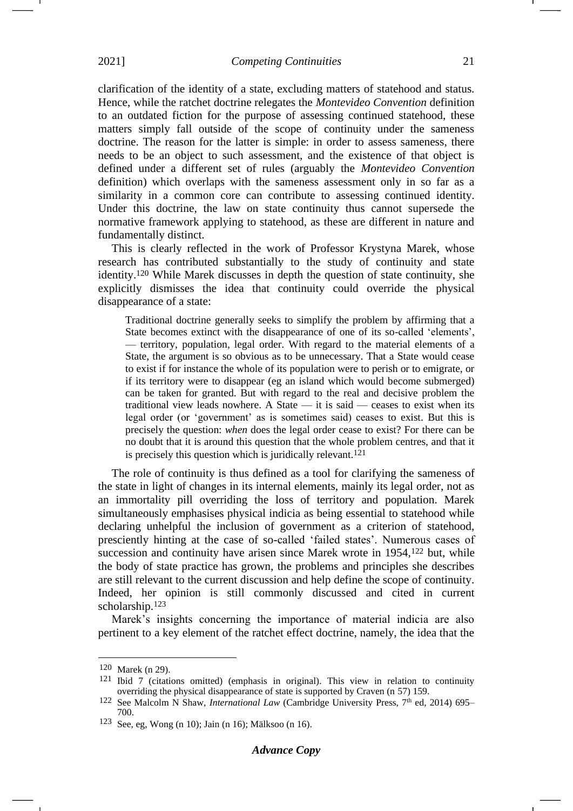clarification of the identity of a state, excluding matters of statehood and status. Hence, while the ratchet doctrine relegates the *Montevideo Convention* definition to an outdated fiction for the purpose of assessing continued statehood, these matters simply fall outside of the scope of continuity under the sameness doctrine. The reason for the latter is simple: in order to assess sameness, there needs to be an object to such assessment, and the existence of that object is defined under a different set of rules (arguably the *Montevideo Convention* definition) which overlaps with the sameness assessment only in so far as a similarity in a common core can contribute to assessing continued identity. Under this doctrine, the law on state continuity thus cannot supersede the normative framework applying to statehood, as these are different in nature and fundamentally distinct.

This is clearly reflected in the work of Professor Krystyna Marek, whose research has contributed substantially to the study of continuity and state identity.<sup>120</sup> While Marek discusses in depth the question of state continuity, she explicitly dismisses the idea that continuity could override the physical disappearance of a state:

Traditional doctrine generally seeks to simplify the problem by affirming that a State becomes extinct with the disappearance of one of its so-called 'elements', — territory, population, legal order. With regard to the material elements of a State, the argument is so obvious as to be unnecessary. That a State would cease to exist if for instance the whole of its population were to perish or to emigrate, or if its territory were to disappear (eg an island which would become submerged) can be taken for granted. But with regard to the real and decisive problem the traditional view leads nowhere. A State — it is said — ceases to exist when its legal order (or 'government' as is sometimes said) ceases to exist. But this is precisely the question: *when* does the legal order cease to exist? For there can be no doubt that it is around this question that the whole problem centres, and that it is precisely this question which is juridically relevant.<sup>121</sup>

The role of continuity is thus defined as a tool for clarifying the sameness of the state in light of changes in its internal elements, mainly its legal order, not as an immortality pill overriding the loss of territory and population. Marek simultaneously emphasises physical indicia as being essential to statehood while declaring unhelpful the inclusion of government as a criterion of statehood, presciently hinting at the case of so-called 'failed states'. Numerous cases of succession and continuity have arisen since Marek wrote in 1954,<sup>122</sup> but, while the body of state practice has grown, the problems and principles she describes are still relevant to the current discussion and help define the scope of continuity. Indeed, her opinion is still commonly discussed and cited in current scholarship.<sup>123</sup>

Marek's insights concerning the importance of material indicia are also pertinent to a key element of the ratchet effect doctrine, namely, the idea that the

<sup>120</sup> Marek (n [29\)](#page-6-1).

<sup>121</sup> Ibid 7 (citations omitted) (emphasis in original). This view in relation to continuity overriding the physical disappearance of state is supported by Craven (n [57\)](#page-10-0) 159.

<sup>&</sup>lt;sup>122</sup> See Malcolm N Shaw, *International Law* (Cambridge University Press, 7<sup>th</sup> ed, 2014) 695– 700.

<sup>123</sup> See, eg, Wong (n [10\)](#page-3-1); Jain ([n 16\)](#page-4-1); Mälksoo ([n 16\)](#page-4-1).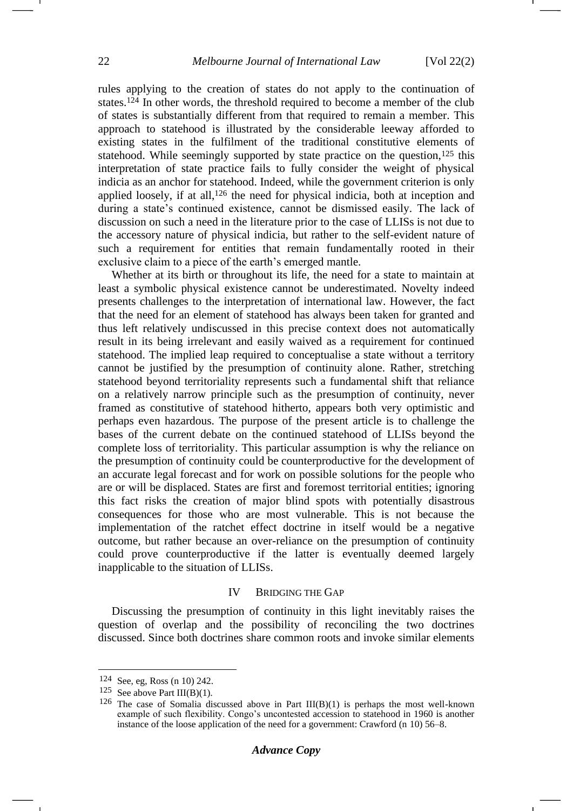rules applying to the creation of states do not apply to the continuation of states.<sup>124</sup> In other words, the threshold required to become a member of the club of states is substantially different from that required to remain a member. This approach to statehood is illustrated by the considerable leeway afforded to existing states in the fulfilment of the traditional constitutive elements of statehood. While seemingly supported by state practice on the question,<sup>125</sup> this interpretation of state practice fails to fully consider the weight of physical indicia as an anchor for statehood. Indeed, while the government criterion is only applied loosely, if at all,<sup>126</sup> the need for physical indicia, both at inception and during a state's continued existence, cannot be dismissed easily. The lack of discussion on such a need in the literature prior to the case of LLISs is not due to the accessory nature of physical indicia, but rather to the self-evident nature of such a requirement for entities that remain fundamentally rooted in their exclusive claim to a piece of the earth's emerged mantle.

Whether at its birth or throughout its life, the need for a state to maintain at least a symbolic physical existence cannot be underestimated. Novelty indeed presents challenges to the interpretation of international law. However, the fact that the need for an element of statehood has always been taken for granted and thus left relatively undiscussed in this precise context does not automatically result in its being irrelevant and easily waived as a requirement for continued statehood. The implied leap required to conceptualise a state without a territory cannot be justified by the presumption of continuity alone. Rather, stretching statehood beyond territoriality represents such a fundamental shift that reliance on a relatively narrow principle such as the presumption of continuity, never framed as constitutive of statehood hitherto, appears both very optimistic and perhaps even hazardous. The purpose of the present article is to challenge the bases of the current debate on the continued statehood of LLISs beyond the complete loss of territoriality. This particular assumption is why the reliance on the presumption of continuity could be counterproductive for the development of an accurate legal forecast and for work on possible solutions for the people who are or will be displaced. States are first and foremost territorial entities; ignoring this fact risks the creation of major blind spots with potentially disastrous consequences for those who are most vulnerable. This is not because the implementation of the ratchet effect doctrine in itself would be a negative outcome, but rather because an over-reliance on the presumption of continuity could prove counterproductive if the latter is eventually deemed largely inapplicable to the situation of LLISs.

#### IV BRIDGING THE GAP

Discussing the presumption of continuity in this light inevitably raises the question of overlap and the possibility of reconciling the two doctrines discussed. Since both doctrines share common roots and invoke similar elements

<sup>124</sup> See, eg, Ross (n [10\)](#page-3-1) 242.

<sup>125</sup> See above Part III(B)(1).

<sup>&</sup>lt;sup>126</sup> The case of Somalia discussed above in Part  $III(B)(1)$  is perhaps the most well-known example of such flexibility. Congo's uncontested accession to statehood in 1960 is another instance of the loose application of the need for a government: Crawford (n [10\)](#page-3-1) 56–8.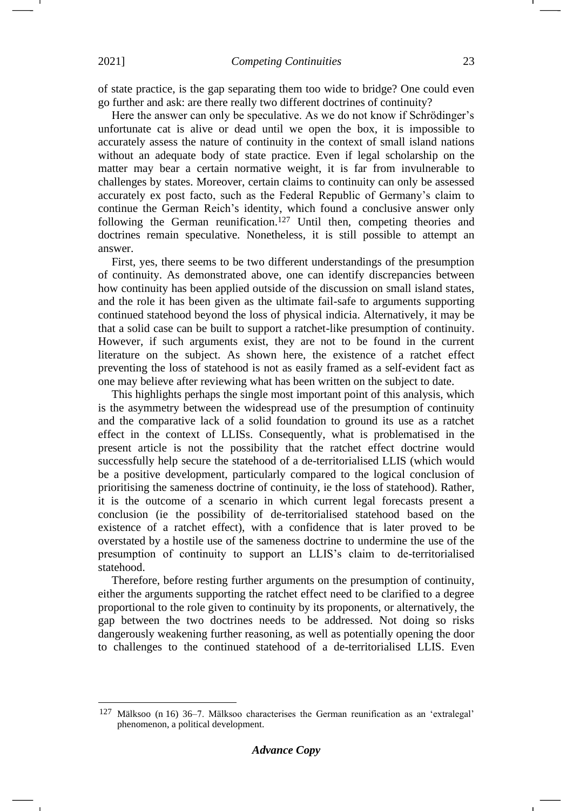of state practice, is the gap separating them too wide to bridge? One could even go further and ask: are there really two different doctrines of continuity?

Here the answer can only be speculative. As we do not know if Schrödinger's unfortunate cat is alive or dead until we open the box, it is impossible to accurately assess the nature of continuity in the context of small island nations without an adequate body of state practice. Even if legal scholarship on the matter may bear a certain normative weight, it is far from invulnerable to challenges by states. Moreover, certain claims to continuity can only be assessed accurately ex post facto, such as the Federal Republic of Germany's claim to continue the German Reich's identity, which found a conclusive answer only following the German reunification.<sup>127</sup> Until then, competing theories and doctrines remain speculative. Nonetheless, it is still possible to attempt an answer.

First, yes, there seems to be two different understandings of the presumption of continuity. As demonstrated above, one can identify discrepancies between how continuity has been applied outside of the discussion on small island states, and the role it has been given as the ultimate fail-safe to arguments supporting continued statehood beyond the loss of physical indicia. Alternatively, it may be that a solid case can be built to support a ratchet-like presumption of continuity. However, if such arguments exist, they are not to be found in the current literature on the subject. As shown here, the existence of a ratchet effect preventing the loss of statehood is not as easily framed as a self-evident fact as one may believe after reviewing what has been written on the subject to date.

This highlights perhaps the single most important point of this analysis, which is the asymmetry between the widespread use of the presumption of continuity and the comparative lack of a solid foundation to ground its use as a ratchet effect in the context of LLISs. Consequently, what is problematised in the present article is not the possibility that the ratchet effect doctrine would successfully help secure the statehood of a de-territorialised LLIS (which would be a positive development, particularly compared to the logical conclusion of prioritising the sameness doctrine of continuity, ie the loss of statehood). Rather, it is the outcome of a scenario in which current legal forecasts present a conclusion (ie the possibility of de-territorialised statehood based on the existence of a ratchet effect), with a confidence that is later proved to be overstated by a hostile use of the sameness doctrine to undermine the use of the presumption of continuity to support an LLIS's claim to de-territorialised statehood.

Therefore, before resting further arguments on the presumption of continuity, either the arguments supporting the ratchet effect need to be clarified to a degree proportional to the role given to continuity by its proponents, or alternatively, the gap between the two doctrines needs to be addressed. Not doing so risks dangerously weakening further reasoning, as well as potentially opening the door to challenges to the continued statehood of a de-territorialised LLIS. Even

<sup>127</sup> Mälksoo (n [16\)](#page-4-1) 36–7. Mälksoo characterises the German reunification as an 'extralegal' phenomenon, a political development.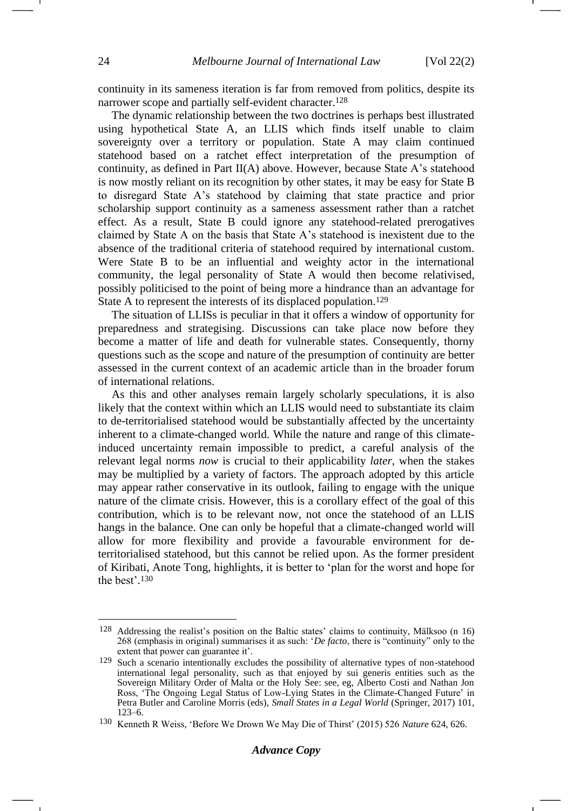continuity in its sameness iteration is far from removed from politics, despite its narrower scope and partially self-evident character.<sup>128</sup>

The dynamic relationship between the two doctrines is perhaps best illustrated using hypothetical State A, an LLIS which finds itself unable to claim sovereignty over a territory or population. State A may claim continued statehood based on a ratchet effect interpretation of the presumption of continuity, as defined in Part II(A) above. However, because State A's statehood is now mostly reliant on its recognition by other states, it may be easy for State B to disregard State A's statehood by claiming that state practice and prior scholarship support continuity as a sameness assessment rather than a ratchet effect. As a result, State B could ignore any statehood-related prerogatives claimed by State A on the basis that State A's statehood is inexistent due to the absence of the traditional criteria of statehood required by international custom. Were State B to be an influential and weighty actor in the international community, the legal personality of State A would then become relativised, possibly politicised to the point of being more a hindrance than an advantage for State A to represent the interests of its displaced population.<sup>129</sup>

The situation of LLISs is peculiar in that it offers a window of opportunity for preparedness and strategising. Discussions can take place now before they become a matter of life and death for vulnerable states. Consequently, thorny questions such as the scope and nature of the presumption of continuity are better assessed in the current context of an academic article than in the broader forum of international relations.

As this and other analyses remain largely scholarly speculations, it is also likely that the context within which an LLIS would need to substantiate its claim to de-territorialised statehood would be substantially affected by the uncertainty inherent to a climate-changed world. While the nature and range of this climateinduced uncertainty remain impossible to predict, a careful analysis of the relevant legal norms *now* is crucial to their applicability *later*, when the stakes may be multiplied by a variety of factors. The approach adopted by this article may appear rather conservative in its outlook, failing to engage with the unique nature of the climate crisis. However, this is a corollary effect of the goal of this contribution, which is to be relevant now, not once the statehood of an LLIS hangs in the balance. One can only be hopeful that a climate-changed world will allow for more flexibility and provide a favourable environment for deterritorialised statehood, but this cannot be relied upon. As the former president of Kiribati, Anote Tong, highlights, it is better to 'plan for the worst and hope for the best'. 130

<sup>128</sup> Addressing the realist's position on the Baltic states' claims to continuity, Mälksoo (n [16\)](#page-4-1) 268 (emphasis in original) summarises it as such: '*De facto*, there is "continuity" only to the extent that power can guarantee it'.

<sup>129</sup> Such a scenario intentionally excludes the possibility of alternative types of non-statehood international legal personality, such as that enjoyed by sui generis entities such as the Sovereign Military Order of Malta or the Holy See: see, eg, Alberto Costi and Nathan Jon Ross, 'The Ongoing Legal Status of Low-Lying States in the Climate-Changed Future' in Petra Butler and Caroline Morris (eds), *Small States in a Legal World* (Springer, 2017) 101, 123–6.

<sup>130</sup> Kenneth R Weiss, 'Before We Drown We May Die of Thirst' (2015) 526 *Nature* 624, 626.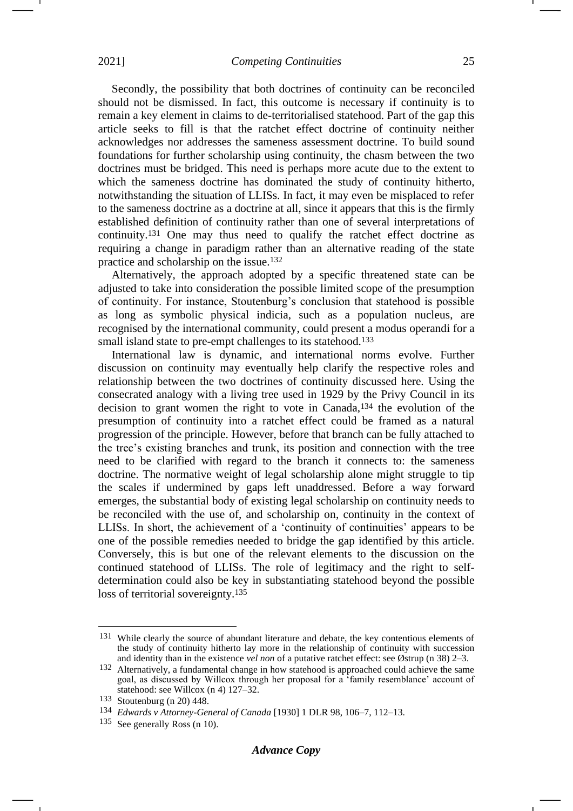Secondly, the possibility that both doctrines of continuity can be reconciled should not be dismissed. In fact, this outcome is necessary if continuity is to remain a key element in claims to de-territorialised statehood. Part of the gap this article seeks to fill is that the ratchet effect doctrine of continuity neither acknowledges nor addresses the sameness assessment doctrine. To build sound foundations for further scholarship using continuity, the chasm between the two doctrines must be bridged. This need is perhaps more acute due to the extent to which the sameness doctrine has dominated the study of continuity hitherto, notwithstanding the situation of LLISs. In fact, it may even be misplaced to refer to the sameness doctrine as a doctrine at all, since it appears that this is the firmly established definition of continuity rather than one of several interpretations of continuity.<sup>131</sup> One may thus need to qualify the ratchet effect doctrine as requiring a change in paradigm rather than an alternative reading of the state practice and scholarship on the issue.<sup>132</sup>

Alternatively, the approach adopted by a specific threatened state can be adjusted to take into consideration the possible limited scope of the presumption of continuity. For instance, Stoutenburg's conclusion that statehood is possible as long as symbolic physical indicia, such as a population nucleus, are recognised by the international community, could present a modus operandi for a small island state to pre-empt challenges to its statehood.<sup>133</sup>

International law is dynamic, and international norms evolve. Further discussion on continuity may eventually help clarify the respective roles and relationship between the two doctrines of continuity discussed here. Using the consecrated analogy with a living tree used in 1929 by the Privy Council in its decision to grant women the right to vote in Canada,<sup>134</sup> the evolution of the presumption of continuity into a ratchet effect could be framed as a natural progression of the principle. However, before that branch can be fully attached to the tree's existing branches and trunk, its position and connection with the tree need to be clarified with regard to the branch it connects to: the sameness doctrine. The normative weight of legal scholarship alone might struggle to tip the scales if undermined by gaps left unaddressed. Before a way forward emerges, the substantial body of existing legal scholarship on continuity needs to be reconciled with the use of, and scholarship on, continuity in the context of LLISs. In short, the achievement of a 'continuity of continuities' appears to be one of the possible remedies needed to bridge the gap identified by this article. Conversely, this is but one of the relevant elements to the discussion on the continued statehood of LLISs. The role of legitimacy and the right to selfdetermination could also be key in substantiating statehood beyond the possible loss of territorial sovereignty.<sup>135</sup>

<sup>131</sup> While clearly the source of abundant literature and debate, the key contentious elements of the study of continuity hitherto lay more in the relationship of continuity with succession and identity than in the existence *vel non* of a putative ratchet effect: see Østrup (n [38\)](#page-7-1) 2–3.

<sup>132</sup> Alternatively, a fundamental change in how statehood is approached could achieve the same goal, as discussed by Willcox through her proposal for a 'family resemblance' account of statehood: see Willcox (n [4\)](#page-1-0) 127–32.

<sup>133</sup> Stoutenburg (n [20\)](#page-4-0) 448.

<sup>134</sup> *Edwards v Attorney-General of Canada* [1930] 1 DLR 98, 106–7, 112–13.

<sup>135</sup> See generally Ross (n [10\)](#page-3-1).